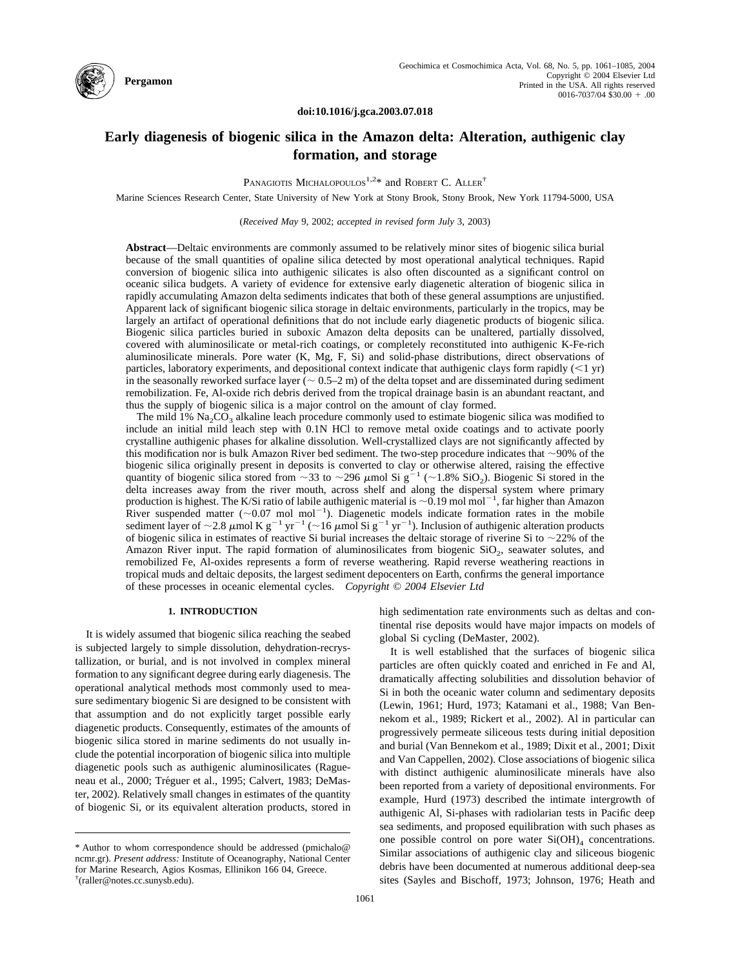

**doi:10.1016/j.gca.2003.07.018**

# **Early diagenesis of biogenic silica in the Amazon delta: Alteration, authigenic clay formation, and storage**

PANAGIOTIS MICHALOPOULOS<sup>1,2\*</sup> and ROBERT C. ALLER<sup>†</sup>

Marine Sciences Research Center, State University of New York at Stony Brook, Stony Brook, New York 11794-5000, USA

(*Received May* 9, 2002; *accepted in revised form July* 3, 2003)

**Abstract**—Deltaic environments are commonly assumed to be relatively minor sites of biogenic silica burial because of the small quantities of opaline silica detected by most operational analytical techniques. Rapid conversion of biogenic silica into authigenic silicates is also often discounted as a significant control on oceanic silica budgets. A variety of evidence for extensive early diagenetic alteration of biogenic silica in rapidly accumulating Amazon delta sediments indicates that both of these general assumptions are unjustified. Apparent lack of significant biogenic silica storage in deltaic environments, particularly in the tropics, may be largely an artifact of operational definitions that do not include early diagenetic products of biogenic silica. Biogenic silica particles buried in suboxic Amazon delta deposits can be unaltered, partially dissolved, covered with aluminosilicate or metal-rich coatings, or completely reconstituted into authigenic K-Fe-rich aluminosilicate minerals. Pore water (K, Mg, F, Si) and solid-phase distributions, direct observations of particles, laboratory experiments, and depositional context indicate that authigenic clays form rapidly  $(<1$  yr) in the seasonally reworked surface layer ( $\sim 0.5-2$  m) of the delta topset and are disseminated during sediment remobilization. Fe, Al-oxide rich debris derived from the tropical drainage basin is an abundant reactant, and thus the supply of biogenic silica is a major control on the amount of clay formed.

The mild 1%  $Na<sub>2</sub>CO<sub>3</sub>$  alkaline leach procedure commonly used to estimate biogenic silica was modified to include an initial mild leach step with 0.1N HCl to remove metal oxide coatings and to activate poorly crystalline authigenic phases for alkaline dissolution. Well-crystallized clays are not significantly affected by this modification nor is bulk Amazon River bed sediment. The two-step procedure indicates that  $\sim$ 90% of the biogenic silica originally present in deposits is converted to clay or otherwise altered, raising the effective quantity of biogenic silica stored from ~33 to ~296  $\mu$ mol Si g<sup>-1</sup> (~1.8% SiO<sub>2</sub>). Biogenic Si stored in the delta increases away from the river mouth, across shelf and along the dispersal system where primary production is highest. The K/Si ratio of labile authigenic material is  $\sim 0.19$  mol mol<sup>-1</sup>, far higher than Amazon River suspended matter ( $\sim 0.07$  mol mol<sup>-1</sup>). Diagenetic models indicate formation rates in the mobile sediment layer of  $\sim$  2.8  $\mu$ mol K g<sup>-1</sup> yr<sup>-1</sup> ( $\sim$  16  $\mu$ mol Si g<sup>-1</sup> yr<sup>-1</sup>). Inclusion of authigenic alteration products of biogenic silica in estimates of reactive Si burial increases the deltaic storage of riverine Si to  $\sim$ 22% of the Amazon River input. The rapid formation of aluminosilicates from biogenic SiO<sub>2</sub>, seawater solutes, and remobilized Fe, Al-oxides represents a form of reverse weathering. Rapid reverse weathering reactions in tropical muds and deltaic deposits, the largest sediment depocenters on Earth, confirms the general importance of these processes in oceanic elemental cycles. *Copyright © 2004 Elsevier Ltd*

# **1. INTRODUCTION**

It is widely assumed that biogenic silica reaching the seabed is subjected largely to simple dissolution, dehydration-recrystallization, or burial, and is not involved in complex mineral formation to any significant degree during early diagenesis. The operational analytical methods most commonly used to measure sedimentary biogenic Si are designed to be consistent with that assumption and do not explicitly target possible early diagenetic products. Consequently, estimates of the amounts of biogenic silica stored in marine sediments do not usually include the potential incorporation of biogenic silica into multiple diagenetic pools such as authigenic aluminosilicates [\(Rague](#page-23-0)neau et al., 2000; Tréguer et al., 1995; Calvert, 1983; DeMas[ter, 2002\)](#page-23-0). Relatively small changes in estimates of the quantity of biogenic Si, or its equivalent alteration products, stored in

1061

high sedimentation rate environments such as deltas and continental rise deposits would have major impacts on models of global Si cycling [\(DeMaster, 2002\)](#page-22-0).

It is well established that the surfaces of biogenic silica particles are often quickly coated and enriched in Fe and Al, dramatically affecting solubilities and dissolution behavior of Si in both the oceanic water column and sedimentary deposits [\(Lewin, 1961; Hurd, 1973; Katamani et al., 1988; Van Ben](#page-23-0)[nekom et al., 1989; Rickert et al., 2002\)](#page-23-0). Al in particular can progressively permeate siliceous tests during initial deposition and burial [\(Van Bennekom et al., 1989; Dixit et al., 2001; Dixit](#page-24-0) [and Van Cappellen, 2002\)](#page-24-0). Close associations of biogenic silica with distinct authigenic aluminosilicate minerals have also been reported from a variety of depositional environments. For example, [Hurd \(1973\)](#page-22-0) described the intimate intergrowth of authigenic Al, Si-phases with radiolarian tests in Pacific deep sea sediments, and proposed equilibration with such phases as one possible control on pore water  $Si(OH)_4$  concentrations. Similar associations of authigenic clay and siliceous biogenic debris have been documented at numerous additional deep-sea sites (Sayles and Bischoff, 1973; Johnson, 1976; Heath and

<sup>\*</sup> Author to whom correspondence should be addressed (pmichalo@ ncmr.gr). *Present address:* Institute of Oceanography, National Center for Marine Research, Agios Kosmas, Ellinikon 166 04, Greece. † (raller@notes.cc.sunysb.edu).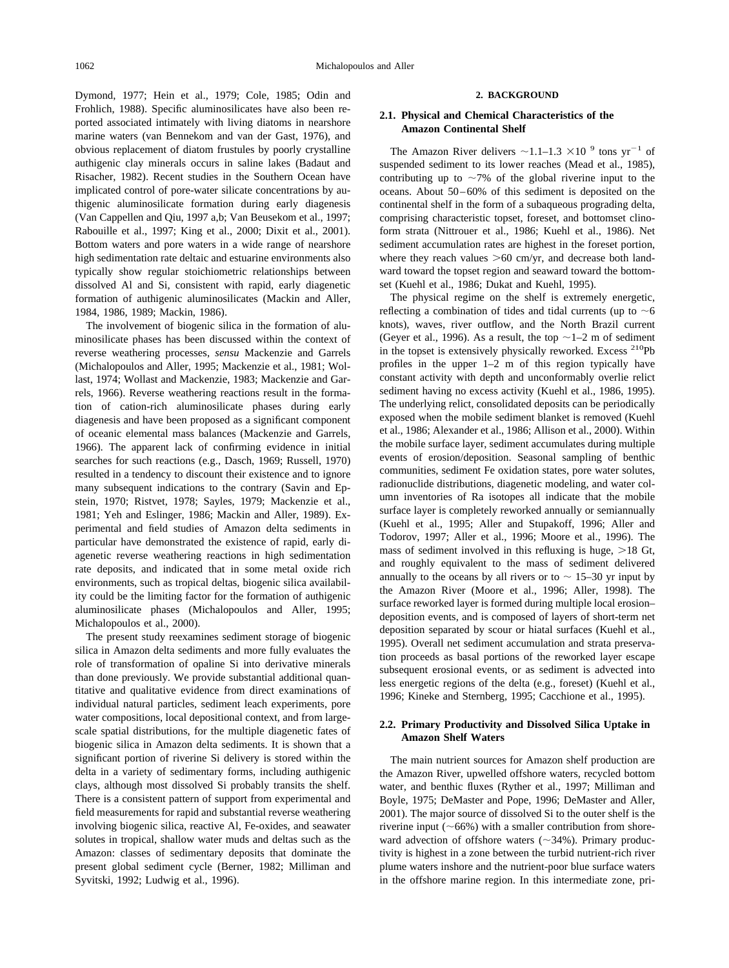Dymond, 1977; Hein et al., 1979; Cole, 1985; Odin and [Frohlich, 1988\)](#page-24-0). Specific aluminosilicates have also been reported associated intimately with living diatoms in nearshore marine waters [\(van Bennekom and van der Gast, 1976\)](#page-24-0), and obvious replacement of diatom frustules by poorly crystalline authigenic clay minerals occurs in saline lakes [\(Badaut and](#page-22-0) [Risacher, 1982\)](#page-22-0). Recent studies in the Southern Ocean have implicated control of pore-water silicate concentrations by authigenic aluminosilicate formation during early diagenesis [\(Van Cappellen and Qiu, 1997 a,b; Van Beusekom et al., 1997;](#page-22-0) [Rabouille et al., 1997; King et al., 2000; Dixit et al., 2001\)](#page-22-0). Bottom waters and pore waters in a wide range of nearshore high sedimentation rate deltaic and estuarine environments also typically show regular stoichiometric relationships between dissolved Al and Si, consistent with rapid, early diagenetic formation of authigenic aluminosilicates [\(Mackin and Aller,](#page-23-0) [1984, 1986, 1989; Mackin, 1986\)](#page-23-0).

The involvement of biogenic silica in the formation of aluminosilicate phases has been discussed within the context of reverse weathering processes, *sensu* Mackenzie and Garrels [\(Michalopoulos and Aller, 1995; Mackenzie et al., 1981; Wol](#page-23-0)[last, 1974; Wollast and Mackenzie, 1983; Mackenzie and Gar](#page-23-0)[rels, 1966\)](#page-23-0). Reverse weathering reactions result in the formation of cation-rich aluminosilicate phases during early diagenesis and have been proposed as a significant component of oceanic elemental mass balances [\(Mackenzie and Garrels,](#page-23-0) [1966\)](#page-23-0). The apparent lack of confirming evidence in initial searches for such reactions (e.g., [Dasch, 1969; Russell, 1970\)](#page-22-0) resulted in a tendency to discount their existence and to ignore many subsequent indications to the contrary [\(Savin and Ep](#page-23-0)[stein, 1970; Ristvet, 1978; Sayles, 1979; Mackenzie et al.,](#page-23-0) [1981; Yeh and Eslinger, 1986; Mackin and Aller, 1989\)](#page-23-0). Experimental and field studies of Amazon delta sediments in particular have demonstrated the existence of rapid, early diagenetic reverse weathering reactions in high sedimentation rate deposits, and indicated that in some metal oxide rich environments, such as tropical deltas, biogenic silica availability could be the limiting factor for the formation of authigenic aluminosilicate phases [\(Michalopoulos and Aller, 1995;](#page-23-0) [Michalopoulos et al., 2000\)](#page-23-0).

The present study reexamines sediment storage of biogenic silica in Amazon delta sediments and more fully evaluates the role of transformation of opaline Si into derivative minerals than done previously. We provide substantial additional quantitative and qualitative evidence from direct examinations of individual natural particles, sediment leach experiments, pore water compositions, local depositional context, and from largescale spatial distributions, for the multiple diagenetic fates of biogenic silica in Amazon delta sediments. It is shown that a significant portion of riverine Si delivery is stored within the delta in a variety of sedimentary forms, including authigenic clays, although most dissolved Si probably transits the shelf. There is a consistent pattern of support from experimental and field measurements for rapid and substantial reverse weathering involving biogenic silica, reactive Al, Fe-oxides, and seawater solutes in tropical, shallow water muds and deltas such as the Amazon: classes of sedimentary deposits that dominate the present global sediment cycle [\(Berner, 1982; Milliman and](#page-22-0) [Syvitski, 1992; Ludwig et al., 1996\)](#page-22-0).

### **2. BACKGROUND**

# **2.1. Physical and Chemical Characteristics of the Amazon Continental Shelf**

The Amazon River delivers  $\sim$  1.1–1.3  $\times$  10<sup>9</sup> tons yr<sup>-1</sup> of suspended sediment to its lower reaches [\(Mead et al., 1985\)](#page-23-0), contributing up to  $\sim$ 7% of the global riverine input to the oceans. About 50–60% of this sediment is deposited on the continental shelf in the form of a subaqueous prograding delta, comprising characteristic topset, foreset, and bottomset clinoform strata [\(Nittrouer et al., 1986; Kuehl et al., 1986\)](#page-23-0). Net sediment accumulation rates are highest in the foreset portion, where they reach values  $>60$  cm/yr, and decrease both landward toward the topset region and seaward toward the bottomset [\(Kuehl et al., 1986; Dukat and Kuehl, 1995\)](#page-23-0).

The physical regime on the shelf is extremely energetic, reflecting a combination of tides and tidal currents (up to  $\sim$ 6 knots), waves, river outflow, and the North Brazil current [\(Geyer et al., 1996\)](#page-22-0). As a result, the top  $\sim$  1–2 m of sediment in the topset is extensively physically reworked. Excess <sup>210</sup>Pb profiles in the upper 1–2 m of this region typically have constant activity with depth and unconformably overlie relict sediment having no excess activity [\(Kuehl et al., 1986, 1995\)](#page-23-0). The underlying relict, consolidated deposits can be periodically exposed when the mobile sediment blanket is removed [\(Kuehl](#page-23-0) [et al., 1986; Alexander et al., 1986; Allison et al., 2000\)](#page-23-0). Within the mobile surface layer, sediment accumulates during multiple events of erosion/deposition. Seasonal sampling of benthic communities, sediment Fe oxidation states, pore water solutes, radionuclide distributions, diagenetic modeling, and water column inventories of Ra isotopes all indicate that the mobile surface layer is completely reworked annually or semiannually [\(Kuehl et al., 1995; Aller and Stupakoff, 1996; Aller and](#page-23-0) [Todorov, 1997; Aller et al., 1996; Moore et al., 1996\)](#page-23-0). The mass of sediment involved in this refluxing is huge,  $>18$  Gt, and roughly equivalent to the mass of sediment delivered annually to the oceans by all rivers or to  $\sim 15-30$  yr input by the Amazon River [\(Moore et al., 1996; Aller, 1998\)](#page-23-0). The surface reworked layer is formed during multiple local erosion– deposition events, and is composed of layers of short-term net deposition separated by scour or hiatal surfaces [\(Kuehl et al.,](#page-23-0) [1995\)](#page-23-0). Overall net sediment accumulation and strata preservation proceeds as basal portions of the reworked layer escape subsequent erosional events, or as sediment is advected into less energetic regions of the delta (e.g., foreset) [\(Kuehl et al.,](#page-23-0) [1996; Kineke and Sternberg, 1995; Cacchione et al., 1995\)](#page-23-0).

# **2.2. Primary Productivity and Dissolved Silica Uptake in Amazon Shelf Waters**

The main nutrient sources for Amazon shelf production are the Amazon River, upwelled offshore waters, recycled bottom water, and benthic fluxes [\(Ryther et al., 1997; Milliman and](#page-23-0) [Boyle, 1975; DeMaster and Pope, 1996; DeMaster and Aller,](#page-23-0) [2001\)](#page-23-0). The major source of dissolved Si to the outer shelf is the riverine input  $(\sim 66\%)$  with a smaller contribution from shoreward advection of offshore waters  $(\sim]34\%$ ). Primary productivity is highest in a zone between the turbid nutrient-rich river plume waters inshore and the nutrient-poor blue surface waters in the offshore marine region. In this intermediate zone, pri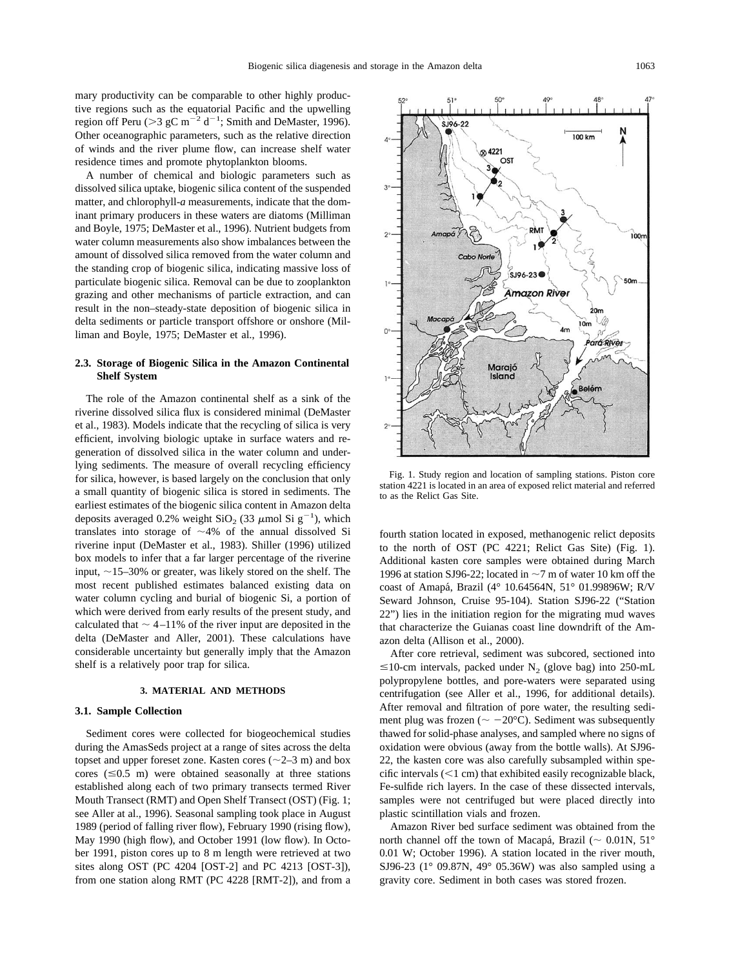<span id="page-2-0"></span>mary productivity can be comparable to other highly productive regions such as the equatorial Pacific and the upwelling region off Peru ( $>$ 3 gC m<sup>-2</sup> d<sup>-1</sup>; [Smith and DeMaster, 1996\)](#page-24-0). Other oceanographic parameters, such as the relative direction of winds and the river plume flow, can increase shelf water residence times and promote phytoplankton blooms.

A number of chemical and biologic parameters such as dissolved silica uptake, biogenic silica content of the suspended matter, and chlorophyll-*a* measurements, indicate that the dominant primary producers in these waters are diatoms [\(Milliman](#page-23-0) [and Boyle, 1975; DeMaster et al., 1996\)](#page-23-0). Nutrient budgets from water column measurements also show imbalances between the amount of dissolved silica removed from the water column and the standing crop of biogenic silica, indicating massive loss of particulate biogenic silica. Removal can be due to zooplankton grazing and other mechanisms of particle extraction, and can result in the non–steady-state deposition of biogenic silica in delta sediments or particle transport offshore or onshore [\(Mil](#page-23-0)[liman and Boyle, 1975; DeMaster et al., 1996\)](#page-23-0).

# **2.3. Storage of Biogenic Silica in the Amazon Continental Shelf System**

The role of the Amazon continental shelf as a sink of the riverine dissolved silica flux is considered minimal [\(DeMaster](#page-22-0) [et al., 1983\)](#page-22-0). Models indicate that the recycling of silica is very efficient, involving biologic uptake in surface waters and regeneration of dissolved silica in the water column and underlying sediments. The measure of overall recycling efficiency for silica, however, is based largely on the conclusion that only a small quantity of biogenic silica is stored in sediments. The earliest estimates of the biogenic silica content in Amazon delta deposits averaged 0.2% weight  $SiO<sub>2</sub>$  (33  $\mu$ mol Si g<sup>-1</sup>), which translates into storage of  $\sim$  4% of the annual dissolved Si riverine input [\(DeMaster et al., 1983\)](#page-22-0). [Shiller \(1996\)](#page-24-0) utilized box models to infer that a far larger percentage of the riverine input,  $\sim$ 15–30% or greater, was likely stored on the shelf. The most recent published estimates balanced existing data on water column cycling and burial of biogenic Si, a portion of which were derived from early results of the present study, and calculated that  $\sim$  4–11% of the river input are deposited in the delta [\(DeMaster and Aller, 2001\)](#page-22-0). These calculations have considerable uncertainty but generally imply that the Amazon shelf is a relatively poor trap for silica.

# **3. MATERIAL AND METHODS**

# **3.1. Sample Collection**

Sediment cores were collected for biogeochemical studies during the AmasSeds project at a range of sites across the delta topset and upper foreset zone. Kasten cores  $(-2-3$  m) and box cores  $(\leq 0.5 \text{ m})$  were obtained seasonally at three stations established along each of two primary transects termed River Mouth Transect (RMT) and Open Shelf Transect (OST) (Fig. 1; see [Aller at al., 1996\)](#page-22-0). Seasonal sampling took place in August 1989 (period of falling river flow), February 1990 (rising flow), May 1990 (high flow), and October 1991 (low flow). In October 1991, piston cores up to 8 m length were retrieved at two sites along OST (PC 4204 [OST-2] and PC 4213 [OST-3]), from one station along RMT (PC 4228 [RMT-2]), and from a



Fig. 1. Study region and location of sampling stations. Piston core station 4221 is located in an area of exposed relict material and referred to as the Relict Gas Site.

fourth station located in exposed, methanogenic relict deposits to the north of OST (PC 4221; Relict Gas Site) (Fig. 1). Additional kasten core samples were obtained during March 1996 at station SJ96-22; located in  $\sim$ 7 m of water 10 km off the coast of Amapa´, Brazil (4° 10.64564N, 51° 01.99896W; R/V Seward Johnson, Cruise 95-104). Station SJ96-22 ("Station 22") lies in the initiation region for the migrating mud waves that characterize the Guianas coast line downdrift of the Amazon delta [\(Allison et al., 2000\)](#page-22-0).

After core retrieval, sediment was subcored, sectioned into  $\leq$ 10-cm intervals, packed under N<sub>2</sub> (glove bag) into 250-mL polypropylene bottles, and pore-waters were separated using centrifugation (see [Aller et al., 1996,](#page-22-0) for additional details). After removal and filtration of pore water, the resulting sediment plug was frozen ( $\sim -20$ °C). Sediment was subsequently thawed for solid-phase analyses, and sampled where no signs of oxidation were obvious (away from the bottle walls). At SJ96- 22, the kasten core was also carefully subsampled within specific intervals  $(< 1$  cm) that exhibited easily recognizable black, Fe-sulfide rich layers. In the case of these dissected intervals, samples were not centrifuged but were placed directly into plastic scintillation vials and frozen.

Amazon River bed surface sediment was obtained from the north channel off the town of Macapá, Brazil ( $\sim 0.01$ N, 51° 0.01 W; October 1996). A station located in the river mouth, SJ96-23 (1° 09.87N, 49° 05.36W) was also sampled using a gravity core. Sediment in both cases was stored frozen.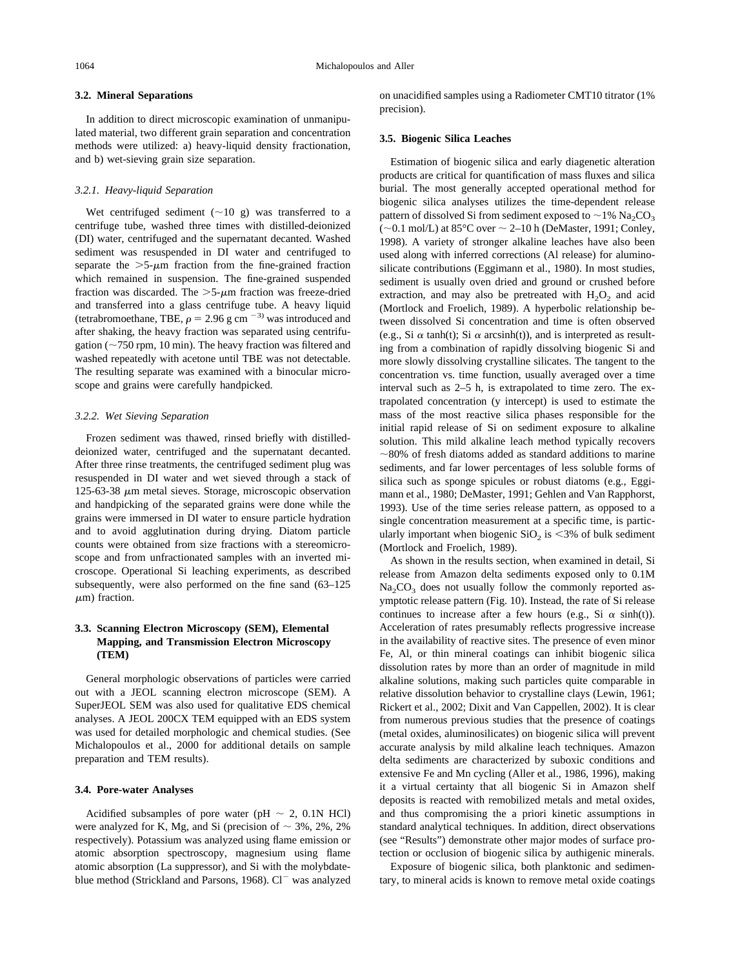#### **3.2. Mineral Separations**

In addition to direct microscopic examination of unmanipulated material, two different grain separation and concentration methods were utilized: a) heavy-liquid density fractionation, and b) wet-sieving grain size separation.

# *3.2.1. Heavy-liquid Separation*

Wet centrifuged sediment  $(\sim 10 \text{ g})$  was transferred to a centrifuge tube, washed three times with distilled-deionized (DI) water, centrifuged and the supernatant decanted. Washed sediment was resuspended in DI water and centrifuged to separate the  $>5$ - $\mu$ m fraction from the fine-grained fraction which remained in suspension. The fine-grained suspended fraction was discarded. The  $>5$ - $\mu$ m fraction was freeze-dried and transferred into a glass centrifuge tube. A heavy liquid (tetrabromoethane, TBE,  $\rho = 2.96$  g cm<sup>-3)</sup> was introduced and after shaking, the heavy fraction was separated using centrifugation ( $\sim$ 750 rpm, 10 min). The heavy fraction was filtered and washed repeatedly with acetone until TBE was not detectable. The resulting separate was examined with a binocular microscope and grains were carefully handpicked.

# *3.2.2. Wet Sieving Separation*

Frozen sediment was thawed, rinsed briefly with distilleddeionized water, centrifuged and the supernatant decanted. After three rinse treatments, the centrifuged sediment plug was resuspended in DI water and wet sieved through a stack of 125-63-38  $\mu$ m metal sieves. Storage, microscopic observation and handpicking of the separated grains were done while the grains were immersed in DI water to ensure particle hydration and to avoid agglutination during drying. Diatom particle counts were obtained from size fractions with a stereomicroscope and from unfractionated samples with an inverted microscope. Operational Si leaching experiments, as described subsequently, were also performed on the fine sand (63–125  $\mu$ m) fraction.

# **3.3. Scanning Electron Microscopy (SEM), Elemental Mapping, and Transmission Electron Microscopy (TEM)**

General morphologic observations of particles were carried out with a JEOL scanning electron microscope (SEM). A SuperJEOL SEM was also used for qualitative EDS chemical analyses. A JEOL 200CX TEM equipped with an EDS system was used for detailed morphologic and chemical studies. (See [Michalopoulos et al., 2000](#page-23-0) for additional details on sample preparation and TEM results).

# **3.4. Pore-water Analyses**

Acidified subsamples of pore water (pH  $\sim$  2, 0.1N HCl) were analyzed for K, Mg, and Si (precision of  $\sim$  3%, 2%, 2% respectively). Potassium was analyzed using flame emission or atomic absorption spectroscopy, magnesium using flame atomic absorption (La suppressor), and Si with the molybdate-blue method [\(Strickland and Parsons, 1968\)](#page-24-0).  $Cl^-$  was analyzed on unacidified samples using a Radiometer CMT10 titrator (1% precision).

# **3.5. Biogenic Silica Leaches**

Estimation of biogenic silica and early diagenetic alteration products are critical for quantification of mass fluxes and silica burial. The most generally accepted operational method for biogenic silica analyses utilizes the time-dependent release pattern of dissolved Si from sediment exposed to  $\sim$  1%  $\mathrm{Na_{2}CO_{3}}$  $(\sim 0.1 \text{ mol/L})$  at 85°C over  $\sim 2$ –10 h [\(DeMaster, 1991; Conley,](#page-22-0) [1998\)](#page-22-0). A variety of stronger alkaline leaches have also been used along with inferred corrections (Al release) for aluminosilicate contributions [\(Eggimann et al., 1980\)](#page-22-0). In most studies, sediment is usually oven dried and ground or crushed before extraction, and may also be pretreated with  $H_2O_2$  and acid [\(Mortlock and Froelich, 1989\)](#page-23-0). A hyperbolic relationship between dissolved Si concentration and time is often observed (e.g., Si  $\alpha$  tanh(t); Si  $\alpha$  arcsinh(t)), and is interpreted as resulting from a combination of rapidly dissolving biogenic Si and more slowly dissolving crystalline silicates. The tangent to the concentration vs. time function, usually averaged over a time interval such as 2–5 h, is extrapolated to time zero. The extrapolated concentration (y intercept) is used to estimate the mass of the most reactive silica phases responsible for the initial rapid release of Si on sediment exposure to alkaline solution. This mild alkaline leach method typically recovers  $\sim$ 80% of fresh diatoms added as standard additions to marine sediments, and far lower percentages of less soluble forms of silica such as sponge spicules or robust diatoms (e.g., [Eggi](#page-22-0)[mann et al., 1980; DeMaster, 1991; Gehlen and Van Rapphorst,](#page-22-0) [1993\)](#page-22-0). Use of the time series release pattern, as opposed to a single concentration measurement at a specific time, is particularly important when biogenic  $SiO<sub>2</sub>$  is  $\lt 3\%$  of bulk sediment [\(Mortlock and Froelich, 1989\)](#page-23-0).

As shown in the results section, when examined in detail, Si release from Amazon delta sediments exposed only to 0.1M  $Na<sub>2</sub>CO<sub>3</sub>$  does not usually follow the commonly reported asymptotic release pattern [\(Fig. 10\)](#page-11-0). Instead, the rate of Si release continues to increase after a few hours (e.g., Si  $\alpha$  sinh(t)). Acceleration of rates presumably reflects progressive increase in the availability of reactive sites. The presence of even minor Fe, Al, or thin mineral coatings can inhibit biogenic silica dissolution rates by more than an order of magnitude in mild alkaline solutions, making such particles quite comparable in relative dissolution behavior to crystalline clays [\(Lewin, 1961;](#page-23-0) [Rickert et al., 2002; Dixit and Van Cappellen, 2002\)](#page-23-0). It is clear from numerous previous studies that the presence of coatings (metal oxides, aluminosilicates) on biogenic silica will prevent accurate analysis by mild alkaline leach techniques. Amazon delta sediments are characterized by suboxic conditions and extensive Fe and Mn cycling [\(Aller et al., 1986, 1996\)](#page-22-0), making it a virtual certainty that all biogenic Si in Amazon shelf deposits is reacted with remobilized metals and metal oxides, and thus compromising the a priori kinetic assumptions in standard analytical techniques. In addition, direct observations (see "Results") demonstrate other major modes of surface protection or occlusion of biogenic silica by authigenic minerals.

Exposure of biogenic silica, both planktonic and sedimentary, to mineral acids is known to remove metal oxide coatings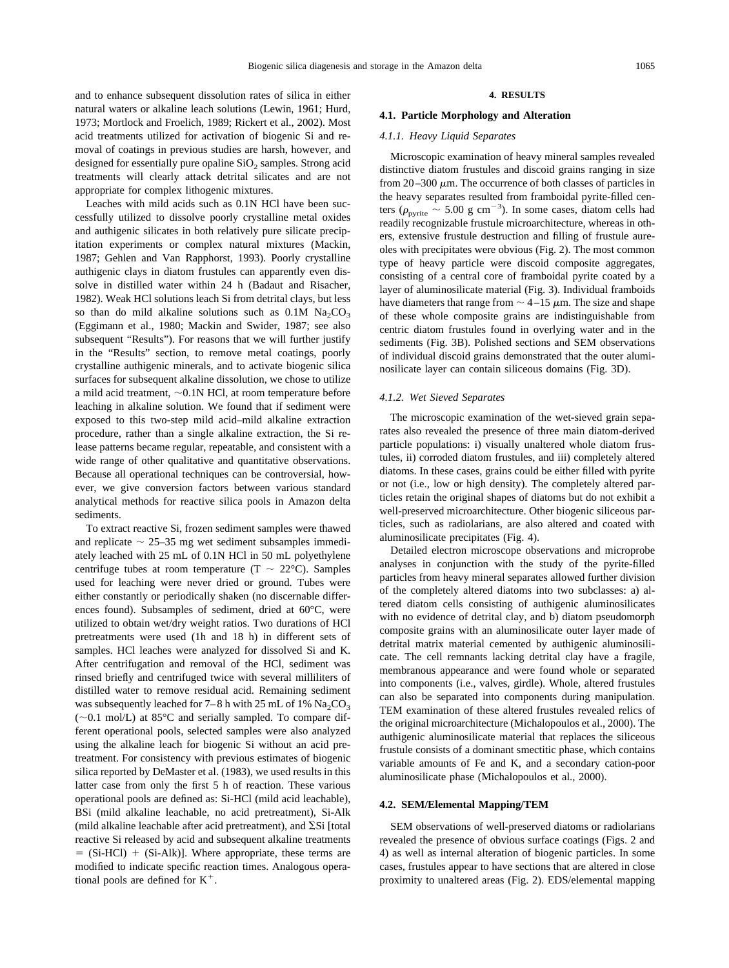and to enhance subsequent dissolution rates of silica in either natural waters or alkaline leach solutions [\(Lewin, 1961; Hurd,](#page-23-0) [1973; Mortlock and Froelich, 1989; Rickert et al., 2002\)](#page-23-0). Most acid treatments utilized for activation of biogenic Si and removal of coatings in previous studies are harsh, however, and designed for essentially pure opaline  $SiO<sub>2</sub>$  samples. Strong acid treatments will clearly attack detrital silicates and are not appropriate for complex lithogenic mixtures.

Leaches with mild acids such as 0.1N HCl have been successfully utilized to dissolve poorly crystalline metal oxides and authigenic silicates in both relatively pure silicate precipitation experiments or complex natural mixtures [\(Mackin,](#page-23-0) [1987; Gehlen and Van Rapphorst, 1993\)](#page-23-0). Poorly crystalline authigenic clays in diatom frustules can apparently even dissolve in distilled water within 24 h [\(Badaut and Risacher,](#page-22-0) [1982\)](#page-22-0). Weak HCl solutions leach Si from detrital clays, but less so than do mild alkaline solutions such as  $0.1M$  Na<sub>2</sub>CO<sub>3</sub> [\(Eggimann et al., 1980; Mackin and Swider, 1987;](#page-22-0) see also subsequent "Results"). For reasons that we will further justify in the "Results" section, to remove metal coatings, poorly crystalline authigenic minerals, and to activate biogenic silica surfaces for subsequent alkaline dissolution, we chose to utilize a mild acid treatment,  $\sim 0.1$ N HCl, at room temperature before leaching in alkaline solution. We found that if sediment were exposed to this two-step mild acid–mild alkaline extraction procedure, rather than a single alkaline extraction, the Si release patterns became regular, repeatable, and consistent with a wide range of other qualitative and quantitative observations. Because all operational techniques can be controversial, however, we give conversion factors between various standard analytical methods for reactive silica pools in Amazon delta sediments.

To extract reactive Si, frozen sediment samples were thawed and replicate  $\sim$  25–35 mg wet sediment subsamples immediately leached with 25 mL of 0.1N HCl in 50 mL polyethylene centrifuge tubes at room temperature (T  $\sim 22^{\circ}$ C). Samples used for leaching were never dried or ground. Tubes were either constantly or periodically shaken (no discernable differences found). Subsamples of sediment, dried at 60°C, were utilized to obtain wet/dry weight ratios. Two durations of HCl pretreatments were used (1h and 18 h) in different sets of samples. HCl leaches were analyzed for dissolved Si and K. After centrifugation and removal of the HCl, sediment was rinsed briefly and centrifuged twice with several milliliters of distilled water to remove residual acid. Remaining sediment was subsequently leached for  $7-8$  h with 25 mL of 1% Na<sub>2</sub>CO<sub>3</sub>  $(\sim 0.1 \text{ mol/L})$  at 85°C and serially sampled. To compare different operational pools, selected samples were also analyzed using the alkaline leach for biogenic Si without an acid pretreatment. For consistency with previous estimates of biogenic silica reported by [DeMaster et al. \(1983\),](#page-22-0) we used results in this latter case from only the first 5 h of reaction. These various operational pools are defined as: Si-HCl (mild acid leachable), BSi (mild alkaline leachable, no acid pretreatment), Si-Alk (mild alkaline leachable after acid pretreatment), and  $\Sigma S$ i [total reactive Si released by acid and subsequent alkaline treatments  $=$  (Si-HCl)  $+$  (Si-Alk)]. Where appropriate, these terms are modified to indicate specific reaction times. Analogous operational pools are defined for  $K^+$ .

# **4. RESULTS**

### **4.1. Particle Morphology and Alteration**

# *4.1.1. Heavy Liquid Separates*

Microscopic examination of heavy mineral samples revealed distinctive diatom frustules and discoid grains ranging in size from 20–300  $\mu$ m. The occurrence of both classes of particles in the heavy separates resulted from framboidal pyrite-filled centers ( $\rho_{\text{pyrite}} \sim 5.00 \text{ g cm}^{-3}$ ). In some cases, diatom cells had readily recognizable frustule microarchitecture, whereas in others, extensive frustule destruction and filling of frustule aureoles with precipitates were obvious [\(Fig. 2\)](#page-5-0). The most common type of heavy particle were discoid composite aggregates, consisting of a central core of framboidal pyrite coated by a layer of aluminosilicate material [\(Fig. 3\)](#page-6-0). Individual framboids have diameters that range from  $\sim$  4–15  $\mu$ m. The size and shape of these whole composite grains are indistinguishable from centric diatom frustules found in overlying water and in the sediments [\(Fig. 3B\)](#page-6-0). Polished sections and SEM observations of individual discoid grains demonstrated that the outer aluminosilicate layer can contain siliceous domains [\(Fig. 3D\)](#page-6-0).

#### *4.1.2. Wet Sieved Separates*

The microscopic examination of the wet-sieved grain separates also revealed the presence of three main diatom-derived particle populations: i) visually unaltered whole diatom frustules, ii) corroded diatom frustules, and iii) completely altered diatoms. In these cases, grains could be either filled with pyrite or not (i.e., low or high density). The completely altered particles retain the original shapes of diatoms but do not exhibit a well-preserved microarchitecture. Other biogenic siliceous particles, such as radiolarians, are also altered and coated with aluminosilicate precipitates [\(Fig. 4\)](#page-7-0).

Detailed electron microscope observations and microprobe analyses in conjunction with the study of the pyrite-filled particles from heavy mineral separates allowed further division of the completely altered diatoms into two subclasses: a) altered diatom cells consisting of authigenic aluminosilicates with no evidence of detrital clay, and b) diatom pseudomorph composite grains with an aluminosilicate outer layer made of detrital matrix material cemented by authigenic aluminosilicate. The cell remnants lacking detrital clay have a fragile, membranous appearance and were found whole or separated into components (i.e., valves, girdle). Whole, altered frustules can also be separated into components during manipulation. TEM examination of these altered frustules revealed relics of the original microarchitecture [\(Michalopoulos et al., 2000\)](#page-23-0). The authigenic aluminosilicate material that replaces the siliceous frustule consists of a dominant smectitic phase, which contains variable amounts of Fe and K, and a secondary cation-poor aluminosilicate phase [\(Michalopoulos et al., 2000\)](#page-23-0).

# **4.2. SEM/Elemental Mapping/TEM**

SEM observations of well-preserved diatoms or radiolarians revealed the presence of obvious surface coatings [\(Figs. 2](#page-5-0) and [4\)](#page-7-0) as well as internal alteration of biogenic particles. In some cases, frustules appear to have sections that are altered in close proximity to unaltered areas [\(Fig. 2\)](#page-5-0). EDS/elemental mapping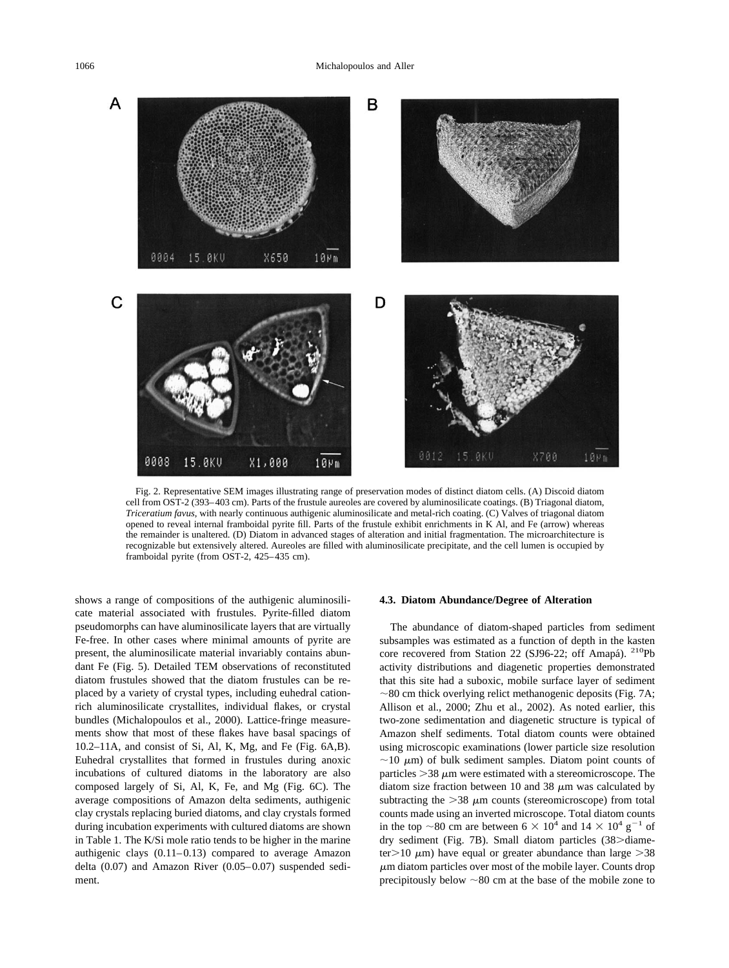<span id="page-5-0"></span>

Fig. 2. Representative SEM images illustrating range of preservation modes of distinct diatom cells. (A) Discoid diatom cell from OST-2 (393–403 cm). Parts of the frustule aureoles are covered by aluminosilicate coatings. (B) Triagonal diatom, *Triceratium favus*, with nearly continuous authigenic aluminosilicate and metal-rich coating. (C) Valves of triagonal diatom opened to reveal internal framboidal pyrite fill. Parts of the frustule exhibit enrichments in K Al, and Fe (arrow) whereas the remainder is unaltered. (D) Diatom in advanced stages of alteration and initial fragmentation. The microarchitecture is recognizable but extensively altered. Aureoles are filled with aluminosilicate precipitate, and the cell lumen is occupied by framboidal pyrite (from OST-2, 425–435 cm).

shows a range of compositions of the authigenic aluminosilicate material associated with frustules. Pyrite-filled diatom pseudomorphs can have aluminosilicate layers that are virtually Fe-free. In other cases where minimal amounts of pyrite are present, the aluminosilicate material invariably contains abundant Fe [\(Fig. 5\)](#page-8-0). Detailed TEM observations of reconstituted diatom frustules showed that the diatom frustules can be replaced by a variety of crystal types, including euhedral cationrich aluminosilicate crystallites, individual flakes, or crystal bundles [\(Michalopoulos et al., 2000\)](#page-23-0). Lattice-fringe measurements show that most of these flakes have basal spacings of 10.2–11A, and consist of Si, Al, K, Mg, and Fe [\(Fig. 6A,B\)](#page-9-0). Euhedral crystallites that formed in frustules during anoxic incubations of cultured diatoms in the laboratory are also composed largely of Si, Al, K, Fe, and Mg [\(Fig. 6C\)](#page-9-0). The average compositions of Amazon delta sediments, authigenic clay crystals replacing buried diatoms, and clay crystals formed during incubation experiments with cultured diatoms are shown in [Table 1.](#page-9-0) The K/Si mole ratio tends to be higher in the marine authigenic clays (0.11–0.13) compared to average Amazon delta (0.07) and Amazon River (0.05–0.07) suspended sediment.

#### **4.3. Diatom Abundance/Degree of Alteration**

The abundance of diatom-shaped particles from sediment subsamples was estimated as a function of depth in the kasten core recovered from Station 22 (SJ96-22; off Amapá). <sup>210</sup>Pb activity distributions and diagenetic properties demonstrated that this site had a suboxic, mobile surface layer of sediment  $\sim$  80 cm thick overlying relict methanogenic deposits [\(Fig. 7A;](#page-10-0) [Allison et al., 2000; Zhu et al., 2002\)](#page-22-0). As noted earlier, this two-zone sedimentation and diagenetic structure is typical of Amazon shelf sediments. Total diatom counts were obtained using microscopic examinations (lower particle size resolution  $\sim$ 10  $\mu$ m) of bulk sediment samples. Diatom point counts of particles  $>$ 38  $\mu$ m were estimated with a stereomicroscope. The diatom size fraction between 10 and 38  $\mu$ m was calculated by subtracting the  $>38 \mu m$  counts (stereomicroscope) from total counts made using an inverted microscope. Total diatom counts in the top ~80 cm are between  $6 \times 10^4$  and  $14 \times 10^4$  g<sup>-1</sup> of dry sediment [\(Fig. 7B\)](#page-10-0). Small diatom particles  $(38)$ diameter > 10  $\mu$ m) have equal or greater abundance than large > 38  $\mu$ m diatom particles over most of the mobile layer. Counts drop precipitously below  $\sim 80$  cm at the base of the mobile zone to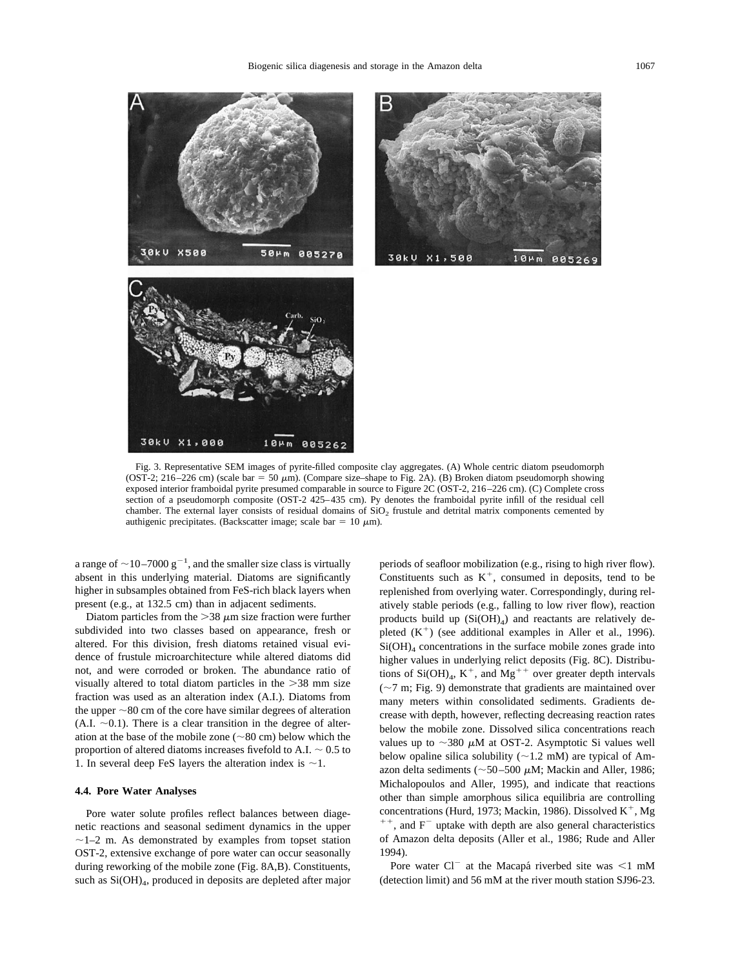<span id="page-6-0"></span>

Fig. 3. Representative SEM images of pyrite-filled composite clay aggregates. (A) Whole centric diatom pseudomorph (OST-2; 216–226 cm) (scale bar = 50  $\mu$ m). (Compare size–shape to [Fig. 2A\)](#page-5-0). (B) Broken diatom pseudomorph showing exposed interior framboidal pyrite presumed comparable in source to [Figure 2C](#page-5-0) (OST-2, 216–226 cm). (C) Complete cross section of a pseudomorph composite (OST-2 425–435 cm). Py denotes the framboidal pyrite infill of the residual cell chamber. The external layer consists of residual domains of  $SiO<sub>2</sub>$  frustule and detrital matrix components cemented by authigenic precipitates. (Backscatter image; scale bar =  $10 \mu m$ ).

a range of  $\sim$ 10–7000 g<sup>-1</sup>, and the smaller size class is virtually absent in this underlying material. Diatoms are significantly higher in subsamples obtained from FeS-rich black layers when present (e.g., at 132.5 cm) than in adjacent sediments.

Diatom particles from the  $>$ 38  $\mu$ m size fraction were further subdivided into two classes based on appearance, fresh or altered. For this division, fresh diatoms retained visual evidence of frustule microarchitecture while altered diatoms did not, and were corroded or broken. The abundance ratio of visually altered to total diatom particles in the 38 mm size fraction was used as an alteration index (A.I.). Diatoms from the upper  $\sim$  80 cm of the core have similar degrees of alteration  $(A.I. ~0.1)$ . There is a clear transition in the degree of alteration at the base of the mobile zone  $(\sim 80 \text{ cm})$  below which the proportion of altered diatoms increases fivefold to A.I.  $\sim 0.5$  to 1. In several deep FeS layers the alteration index is  $\sim$  1.

# **4.4. Pore Water Analyses**

Pore water solute profiles reflect balances between diagenetic reactions and seasonal sediment dynamics in the upper  $\sim$  1–2 m. As demonstrated by examples from topset station OST-2, extensive exchange of pore water can occur seasonally during reworking of the mobile zone [\(Fig. 8A,B\)](#page-10-0). Constituents, such as  $Si(OH)<sub>4</sub>$ , produced in deposits are depleted after major

periods of seafloor mobilization (e.g., rising to high river flow). Constituents such as  $K^+$ , consumed in deposits, tend to be replenished from overlying water. Correspondingly, during relatively stable periods (e.g., falling to low river flow), reaction products build up  $(Si(OH)_4)$  and reactants are relatively depleted  $(K^+)$  (see additional examples in [Aller et al., 1996\)](#page-22-0).  $Si(OH)<sub>4</sub>$  concentrations in the surface mobile zones grade into higher values in underlying relict deposits [\(Fig. 8C\)](#page-10-0). Distributions of  $Si(OH)_4$ ,  $K^+$ , and  $Mg^{++}$  over greater depth intervals  $(\sim)7$  m; [Fig. 9\)](#page-11-0) demonstrate that gradients are maintained over many meters within consolidated sediments. Gradients decrease with depth, however, reflecting decreasing reaction rates below the mobile zone. Dissolved silica concentrations reach values up to  $\sim$ 380  $\mu$ M at OST-2. Asymptotic Si values well below opaline silica solubility  $(\sim 1.2 \text{ mM})$  are typical of Amazon delta sediments ( $\sim$ 50–500  $\mu$ M; [Mackin and Aller, 1986;](#page-23-0) [Michalopoulos and Aller, 1995\)](#page-23-0), and indicate that reactions other than simple amorphous silica equilibria are controlling concentrations [\(Hurd, 1973; Mackin, 1986\)](#page-22-0). Dissolved  $K^+$ , Mg  $^{++}$ , and  $F^-$  uptake with depth are also general characteristics of Amazon delta deposits [\(Aller et al., 1986; Rude and Aller](#page-22-0) [1994\)](#page-22-0).

Pore water  $Cl^-$  at the Macapá riverbed site was  $\leq l$  mM (detection limit) and 56 mM at the river mouth station SJ96-23.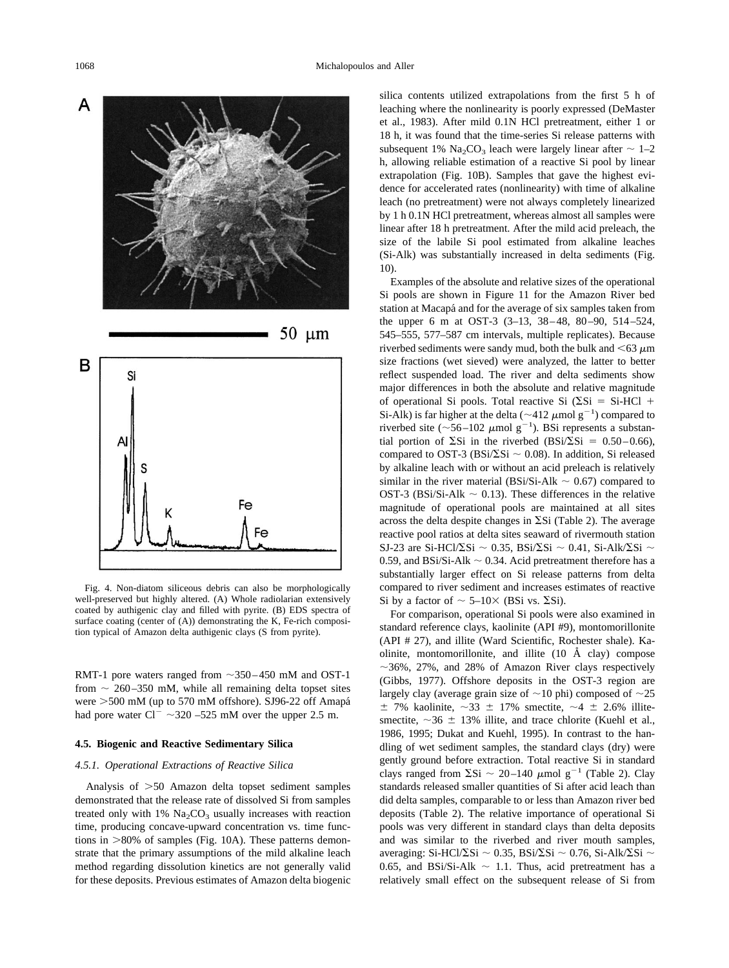<span id="page-7-0"></span>

Fig. 4. Non-diatom siliceous debris can also be morphologically well-preserved but highly altered. (A) Whole radiolarian extensively coated by authigenic clay and filled with pyrite. (B) EDS spectra of surface coating (center of (A)) demonstrating the K, Fe-rich composition typical of Amazon delta authigenic clays (S from pyrite).

RMT-1 pore waters ranged from  $\sim$ 350–450 mM and OST-1 from  $\sim$  260–350 mM, while all remaining delta topset sites were  $>500$  mM (up to 570 mM offshore). SJ96-22 off Amapá had pore water  $Cl^{-} \sim 320 - 525$  mM over the upper 2.5 m.

#### **4.5. Biogenic and Reactive Sedimentary Silica**

#### *4.5.1. Operational Extractions of Reactive Silica*

Analysis of  $>50$  Amazon delta topset sediment samples demonstrated that the release rate of dissolved Si from samples treated only with  $1\%$  Na<sub>2</sub>CO<sub>3</sub> usually increases with reaction time, producing concave-upward concentration vs. time functions in  $>80\%$  of samples [\(Fig. 10A\)](#page-11-0). These patterns demonstrate that the primary assumptions of the mild alkaline leach method regarding dissolution kinetics are not generally valid for these deposits. Previous estimates of Amazon delta biogenic

silica contents utilized extrapolations from the first 5 h of leaching where the nonlinearity is poorly expressed [\(DeMaster](#page-22-0) [et al., 1983\)](#page-22-0). After mild 0.1N HCl pretreatment, either 1 or 18 h, it was found that the time-series Si release patterns with subsequent 1%  $\text{Na}_2\text{CO}_3$  leach were largely linear after  $\sim 1-2$ h, allowing reliable estimation of a reactive Si pool by linear extrapolation [\(Fig. 10B\)](#page-11-0). Samples that gave the highest evidence for accelerated rates (nonlinearity) with time of alkaline leach (no pretreatment) were not always completely linearized by 1 h 0.1N HCl pretreatment, whereas almost all samples were linear after 18 h pretreatment. After the mild acid preleach, the size of the labile Si pool estimated from alkaline leaches (Si-Alk) was substantially increased in delta sediments [\(Fig.](#page-11-0) [10\)](#page-11-0).

Examples of the absolute and relative sizes of the operational Si pools are shown in [Figure 11](#page-12-0) for the Amazon River bed station at Macapá and for the average of six samples taken from the upper 6 m at OST-3 (3–13, 38–48, 80–90, 514–524, 545–555, 577–587 cm intervals, multiple replicates). Because riverbed sediments were sandy mud, both the bulk and  $\leq 63 \mu m$ size fractions (wet sieved) were analyzed, the latter to better reflect suspended load. The river and delta sediments show major differences in both the absolute and relative magnitude of operational Si pools. Total reactive Si  $(\Sigma S) = S$ i-HCl + Si-Alk) is far higher at the delta ( $\sim$ 412  $\mu$ mol g<sup>-1</sup>) compared to riverbed site ( $\sim$ 56–102  $\mu$ mol g<sup>-1</sup>). BSi represents a substantial portion of  $\Sigma$ Si in the riverbed (BSi/ $\Sigma$ Si = 0.50–0.66), compared to OST-3 ( $BSi/\Sigma Si \sim 0.08$ ). In addition, Si released by alkaline leach with or without an acid preleach is relatively similar in the river material (BSi/Si-Alk  $\sim 0.67$ ) compared to OST-3 (BSi/Si-Alk  $\sim$  0.13). These differences in the relative magnitude of operational pools are maintained at all sites across the delta despite changes in  $\Sigma$ Si [\(Table 2\)](#page-13-0). The average reactive pool ratios at delta sites seaward of rivermouth station SJ-23 are Si-HCl/ $\Sigma$ Si ~ 0.35, BSi/ $\Sigma$ Si ~ 0.41, Si-Alk/ $\Sigma$ Si ~ 0.59, and BSi/Si-Alk  $\sim$  0.34. Acid pretreatment therefore has a substantially larger effect on Si release patterns from delta compared to river sediment and increases estimates of reactive Si by a factor of  $\sim$  5–10 $\times$  (BSi vs.  $\Sigma$ Si).

For comparison, operational Si pools were also examined in standard reference clays, kaolinite (API #9), montomorillonite (API # 27), and illite (Ward Scientific, Rochester shale). Kaolinite, montomorillonite, and illite  $(10 \text{ Å}$  clay) compose  $\sim$ 36%, 27%, and 28% of Amazon River clays respectively [\(Gibbs, 1977\)](#page-22-0). Offshore deposits in the OST-3 region are largely clay (average grain size of  $\sim$ 10 phi) composed of  $\sim$ 25  $\pm$  7% kaolinite,  $\sim$ 33  $\pm$  17% smectite,  $\sim$ 4  $\pm$  2.6% illitesmectite,  $\sim$ 36  $\pm$  13% illite, and trace chlorite [\(Kuehl et al.,](#page-23-0) [1986, 1995; Dukat and Kuehl, 1995\)](#page-23-0). In contrast to the handling of wet sediment samples, the standard clays (dry) were gently ground before extraction. Total reactive Si in standard clays ranged from  $\Sigma$ Si ~ 20–140  $\mu$ mol g<sup>-1</sup> [\(Table 2\)](#page-13-0). Clay standards released smaller quantities of Si after acid leach than did delta samples, comparable to or less than Amazon river bed deposits [\(Table 2\)](#page-13-0). The relative importance of operational Si pools was very different in standard clays than delta deposits and was similar to the riverbed and river mouth samples, averaging: Si-HCl/ $\Sigma$ Si  $\sim$  0.35, BSi/ $\Sigma$ Si  $\sim$  0.76, Si-Alk/ $\Sigma$ Si  $\sim$ 0.65, and BSi/Si-Alk  $\sim$  1.1. Thus, acid pretreatment has a relatively small effect on the subsequent release of Si from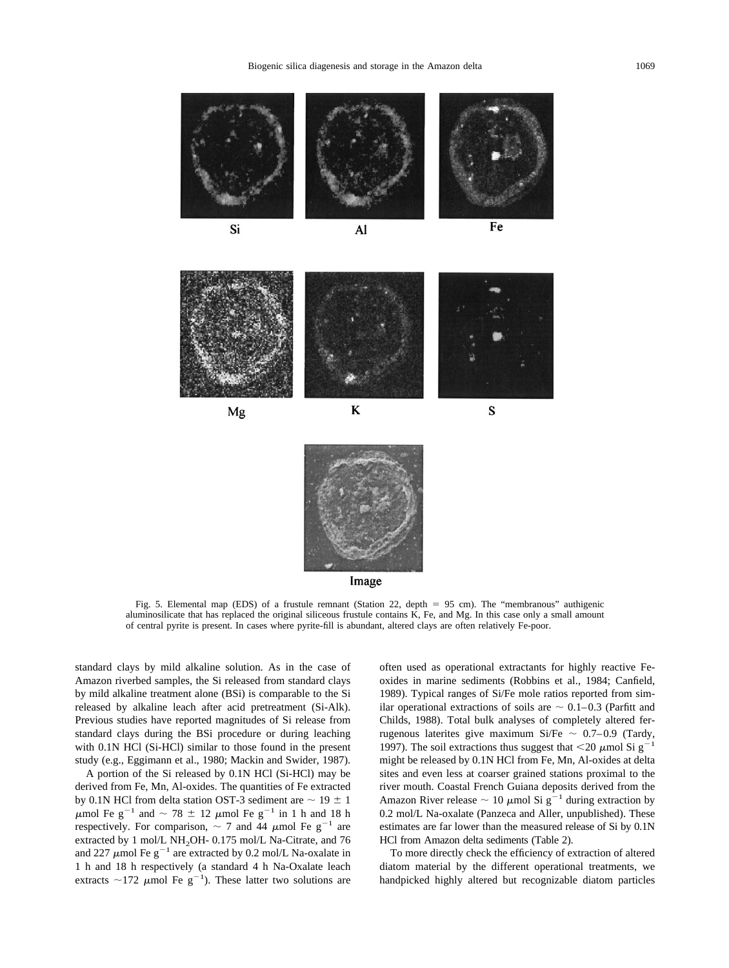<span id="page-8-0"></span>

Fig. 5. Elemental map (EDS) of a frustule remnant (Station 22, depth = 95 cm). The "membranous" authigenic aluminosilicate that has replaced the original siliceous frustule contains K, Fe, and Mg. In this case only a small amount of central pyrite is present. In cases where pyrite-fill is abundant, altered clays are often relatively Fe-poor.

standard clays by mild alkaline solution. As in the case of Amazon riverbed samples, the Si released from standard clays by mild alkaline treatment alone (BSi) is comparable to the Si released by alkaline leach after acid pretreatment (Si-Alk). Previous studies have reported magnitudes of Si release from standard clays during the BSi procedure or during leaching with 0.1N HCl (Si-HCl) similar to those found in the present study (e.g., [Eggimann et al., 1980; Mackin and Swider, 1987\)](#page-22-0).

A portion of the Si released by 0.1N HCl (Si-HCl) may be derived from Fe, Mn, Al-oxides. The quantities of Fe extracted by 0.1N HCl from delta station OST-3 sediment are  $\sim$  19  $\pm$  1  $\mu$ mol Fe g<sup>-1</sup> and  $\sim$  78  $\pm$  12  $\mu$ mol Fe g<sup>-1</sup> in 1 h and 18 h respectively. For comparison,  $\sim$  7 and 44  $\mu$ mol Fe g<sup>-1</sup> are extracted by 1 mol/L NH<sub>2</sub>OH- 0.175 mol/L Na-Citrate, and 76 and 227  $\mu$ mol Fe g<sup>-1</sup> are extracted by 0.2 mol/L Na-oxalate in 1 h and 18 h respectively (a standard 4 h Na-Oxalate leach extracts ~172  $\mu$ mol Fe g<sup>-1</sup>). These latter two solutions are

often used as operational extractants for highly reactive Feoxides in marine sediments [\(Robbins et al., 1984; Canfield,](#page-23-0) [1989\)](#page-23-0). Typical ranges of Si/Fe mole ratios reported from similar operational extractions of soils are  $\sim 0.1-0.3$  [\(Parfitt and](#page-23-0) [Childs, 1988\)](#page-23-0). Total bulk analyses of completely altered ferrugenous laterites give maximum  $Si/Fe \sim 0.7{\text -}0.9$  [\(Tardy,](#page-24-0) [1997\)](#page-24-0). The soil extractions thus suggest that <20  $\mu$ mol Si g<sup>-1</sup> might be released by 0.1N HCl from Fe, Mn, Al-oxides at delta sites and even less at coarser grained stations proximal to the river mouth. Coastal French Guiana deposits derived from the Amazon River release  $\sim 10 \ \mu$ mol Si g<sup>-1</sup> during extraction by 0.2 mol/L Na-oxalate (Panzeca and Aller, unpublished). These estimates are far lower than the measured release of Si by 0.1N HCl from Amazon delta sediments [\(Table 2\)](#page-13-0).

To more directly check the efficiency of extraction of altered diatom material by the different operational treatments, we handpicked highly altered but recognizable diatom particles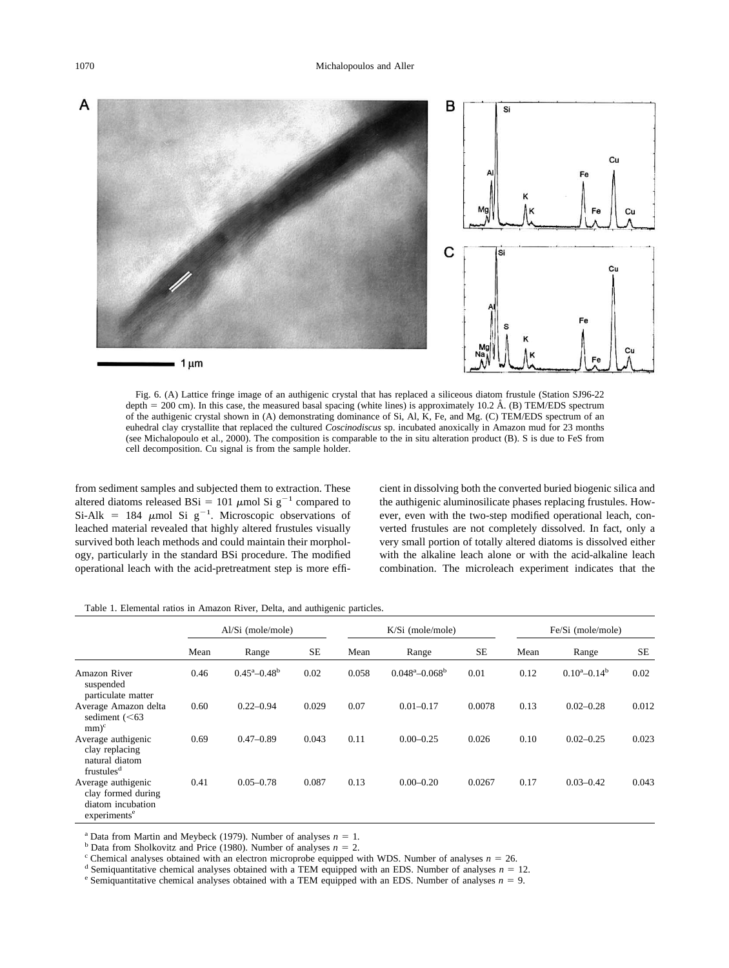<span id="page-9-0"></span>

Fig. 6. (A) Lattice fringe image of an authigenic crystal that has replaced a siliceous diatom frustule (Station SJ96-22 depth  $= 200$  cm). In this case, the measured basal spacing (white lines) is approximately 10.2 Å. (B) TEM/EDS spectrum of the authigenic crystal shown in (A) demonstrating dominance of Si, Al, K, Fe, and Mg. (C) TEM/EDS spectrum of an euhedral clay crystallite that replaced the cultured *Coscinodiscus* sp. incubated anoxically in Amazon mud for 23 months (see [Michalopoulo et al., 2000\)](#page-23-0). The composition is comparable to the in situ alteration product (B). S is due to FeS from cell decomposition. Cu signal is from the sample holder.

from sediment samples and subjected them to extraction. These altered diatoms released BSi = 101  $\mu$ mol Si g<sup>-1</sup> compared to Si-Alk = 184  $\mu$ mol Si g<sup>-1</sup>. Microscopic observations of leached material revealed that highly altered frustules visually survived both leach methods and could maintain their morphology, particularly in the standard BSi procedure. The modified operational leach with the acid-pretreatment step is more efficient in dissolving both the converted buried biogenic silica and the authigenic aluminosilicate phases replacing frustules. However, even with the two-step modified operational leach, converted frustules are not completely dissolved. In fact, only a very small portion of totally altered diatoms is dissolved either with the alkaline leach alone or with the acid-alkaline leach combination. The microleach experiment indicates that the

|  |  |  |  |  |  |  | Table 1. Elemental ratios in Amazon River, Delta, and authigenic particles. |  |
|--|--|--|--|--|--|--|-----------------------------------------------------------------------------|--|
|--|--|--|--|--|--|--|-----------------------------------------------------------------------------|--|

|                                                                                           | Al/Si (mole/mole) |                               |           | $K/Si$ (mole/mole) |                                 |           | Fe/Si (mole/mole) |                               |       |
|-------------------------------------------------------------------------------------------|-------------------|-------------------------------|-----------|--------------------|---------------------------------|-----------|-------------------|-------------------------------|-------|
|                                                                                           | Mean              | Range                         | <b>SE</b> | Mean               | Range                           | <b>SE</b> | Mean              | Range                         | SE    |
| Amazon River<br>suspended<br>particulate matter                                           | 0.46              | $0.45^{\rm a} - 0.48^{\rm b}$ | 0.02      | 0.058              | $0.048^{\rm a} - 0.068^{\rm b}$ | 0.01      | 0.12              | $0.10^{\rm a} - 0.14^{\rm b}$ | 0.02  |
| Average Amazon delta<br>sediment $(< 63$<br>$mm)^c$                                       | 0.60              | $0.22 - 0.94$                 | 0.029     | 0.07               | $0.01 - 0.17$                   | 0.0078    | 0.13              | $0.02 - 0.28$                 | 0.012 |
| Average authigenic<br>clay replacing<br>natural diatom<br>frustules <sup>d</sup>          | 0.69              | $0.47 - 0.89$                 | 0.043     | 0.11               | $0.00 - 0.25$                   | 0.026     | 0.10              | $0.02 - 0.25$                 | 0.023 |
| Average authigenic<br>clay formed during<br>diatom incubation<br>experiments <sup>e</sup> | 0.41              | $0.05 - 0.78$                 | 0.087     | 0.13               | $0.00 - 0.20$                   | 0.0267    | 0.17              | $0.03 - 0.42$                 | 0.043 |

- 
- 
- <sup>a</sup> Data from [Martin and Meybeck \(1979\).](#page-22-0) Number of analyses  $n = 1$ .<br><sup>b</sup> Data from [Sholkovitz and Price \(1980\).](#page-22-0) Number of analyses  $n = 2$ .<br><sup>c</sup> Chemical analyses obtained with an electron microprobe equipped with WDS. Numbe
-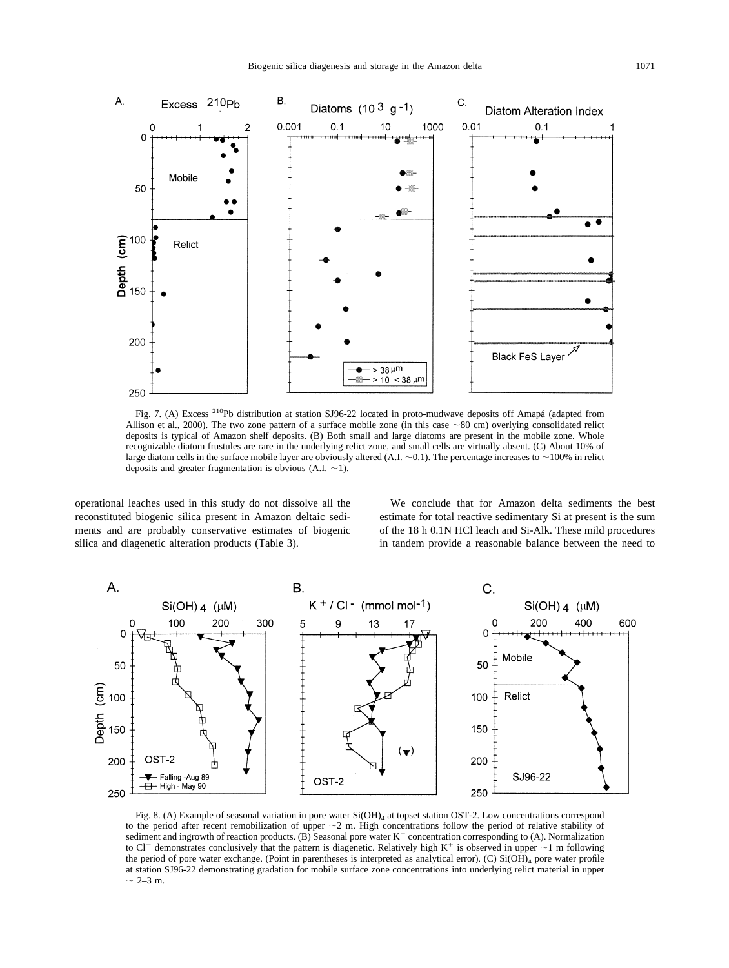<span id="page-10-0"></span>

Fig. 7. (A) Excess <sup>210</sup>Pb distribution at station SJ96-22 located in proto-mudwave deposits off Amapá (adapted from [Allison et al., 2000\)](#page-22-0). The two zone pattern of a surface mobile zone (in this case ~80 cm) overlying consolidated relict deposits is typical of Amazon shelf deposits. (B) Both small and large diatoms are present in the mobile zone. Whole recognizable diatom frustules are rare in the underlying relict zone, and small cells are virtually absent. (C) About 10% of large diatom cells in the surface mobile layer are obviously altered  $(A.I. \sim 0.1)$ . The percentage increases to  $\sim 100\%$  in relict deposits and greater fragmentation is obvious  $(A.I. \sim 1)$ .

operational leaches used in this study do not dissolve all the reconstituted biogenic silica present in Amazon deltaic sediments and are probably conservative estimates of biogenic silica and diagenetic alteration products [\(Table 3\)](#page-13-0).

We conclude that for Amazon delta sediments the best estimate for total reactive sedimentary Si at present is the sum of the 18 h 0.1N HCl leach and Si-Alk. These mild procedures in tandem provide a reasonable balance between the need to



Fig. 8. (A) Example of seasonal variation in pore water  $Si(OH)_4$  at topset station OST-2. Low concentrations correspond to the period after recent remobilization of upper  $\sim$ 2 m. High concentrations follow the period of relative stability of sediment and ingrowth of reaction products. (B) Seasonal pore water  $K^+$  concentration corresponding to (A). Normalization to Cl<sup>-</sup> demonstrates conclusively that the pattern is diagenetic. Relatively high K<sup>+</sup> is observed in upper  $\sim$  1 m following the period of pore water exchange. (Point in parentheses is interpreted as analytical error). (C) Si(OH)<sub>4</sub> pore water profile at station SJ96-22 demonstrating gradation for mobile surface zone concentrations into underlying relict material in upper  $\sim$  2–3 m.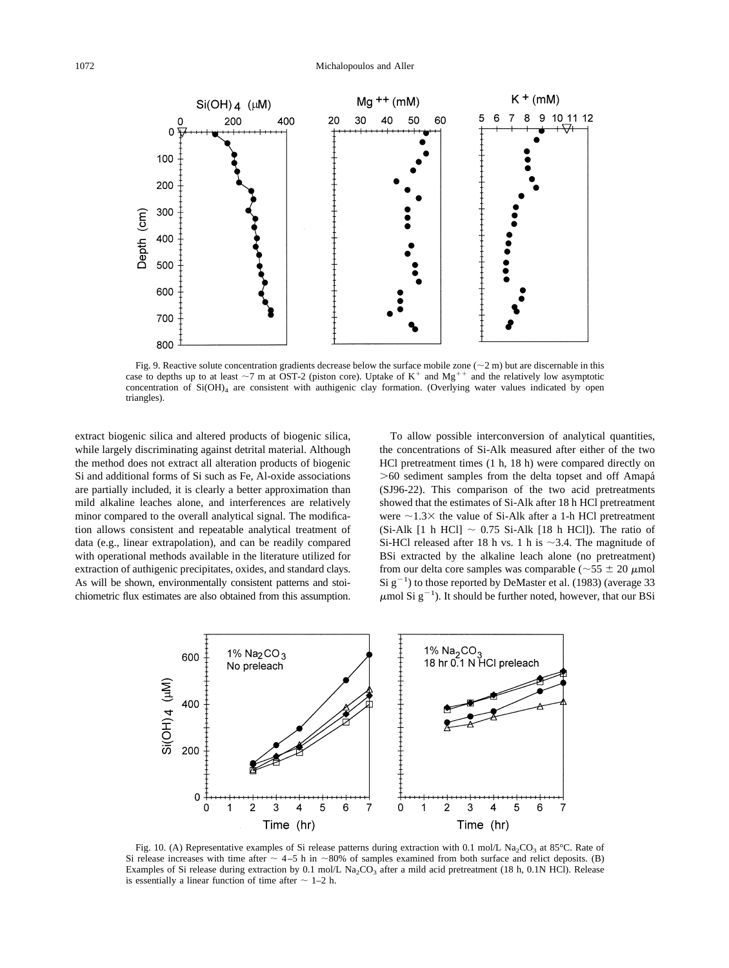<span id="page-11-0"></span>

Fig. 9. Reactive solute concentration gradients decrease below the surface mobile zone  $(\sim 2 \text{ m})$  but are discernable in this case to depths up to at least  $\sim$ 7 m at OST-2 (piston core). Uptake of K<sup>+</sup> and Mg<sup>++</sup> and the relatively low asymptotic concentration of  $Si(OH)_{4}$  are consistent with authigenic clay formation. (Overlying water values indicated by open triangles).

extract biogenic silica and altered products of biogenic silica, while largely discriminating against detrital material. Although the method does not extract all alteration products of biogenic Si and additional forms of Si such as Fe, Al-oxide associations are partially included, it is clearly a better approximation than mild alkaline leaches alone, and interferences are relatively minor compared to the overall analytical signal. The modification allows consistent and repeatable analytical treatment of data (e.g., linear extrapolation), and can be readily compared with operational methods available in the literature utilized for extraction of authigenic precipitates, oxides, and standard clays. As will be shown, environmentally consistent patterns and stoichiometric flux estimates are also obtained from this assumption.

To allow possible interconversion of analytical quantities, the concentrations of Si-Alk measured after either of the two HCl pretreatment times (1 h, 18 h) were compared directly on  $>60$  sediment samples from the delta topset and off Amapá (SJ96-22). This comparison of the two acid pretreatments showed that the estimates of Si-Alk after 18 h HCl pretreatment were  $\sim$ 1.3 $\times$  the value of Si-Alk after a 1-h HCl pretreatment  $(Si-Alk [1 h HC]] \sim 0.75 Si-Alk [18 h HC]]$ . The ratio of Si-HCl released after 18 h vs. 1 h is  $\sim$ 3.4. The magnitude of BSi extracted by the alkaline leach alone (no pretreatment) from our delta core samples was comparable ( $\sim$ 55  $\pm$  20  $\mu$ mol  $\text{Si g}^{-1}$ ) to those reported by [DeMaster et al. \(1983\)](#page-22-0) (average 33  $\mu$ mol Si g<sup>-1</sup>). It should be further noted, however, that our BSi



Fig. 10. (A) Representative examples of Si release patterns during extraction with 0.1 mol/L Na<sub>2</sub>CO<sub>3</sub> at 85°C. Rate of Si release increases with time after  $\sim$  4–5 h in  $\sim$ 80% of samples examined from both surface and relict deposits. (B) Examples of Si release during extraction by 0.1 mol/L Na<sub>2</sub>CO<sub>3</sub> after a mild acid pretreatment (18 h, 0.1N HCl). Release is essentially a linear function of time after  $\sim$  1–2 h.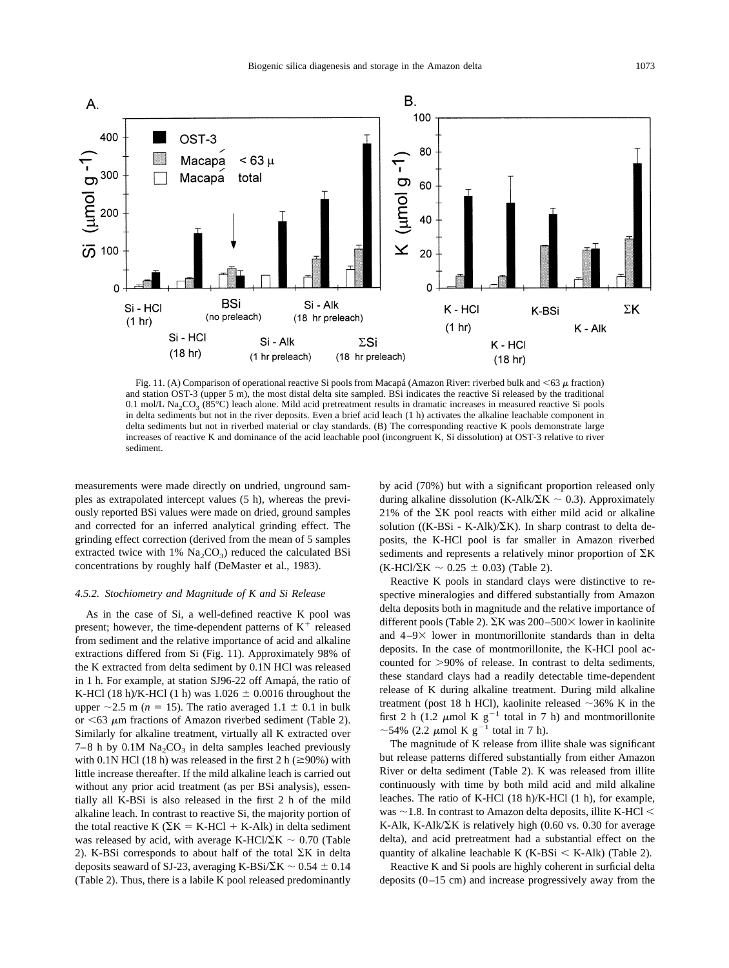<span id="page-12-0"></span>

Fig. 11. (A) Comparison of operational reactive Si pools from Macapá (Amazon River: riverbed bulk and  $\leq 63 \mu$  fraction) and station OST-3 (upper 5 m), the most distal delta site sampled. BSi indicates the reactive Si released by the traditional 0.1 mol/L Na<sub>2</sub>CO<sub>3</sub> (85°C) leach alone. Mild acid pretreatment results in dramatic increases in measured reactive Si pools in delta sediments but not in the river deposits. Even a brief acid leach (1 h) activates the alkaline leachable component in delta sediments but not in riverbed material or clay standards. (B) The corresponding reactive K pools demonstrate large increases of reactive K and dominance of the acid leachable pool (incongruent K, Si dissolution) at OST-3 relative to river sediment.

measurements were made directly on undried, unground samples as extrapolated intercept values (5 h), whereas the previously reported BSi values were made on dried, ground samples and corrected for an inferred analytical grinding effect. The grinding effect correction (derived from the mean of 5 samples extracted twice with 1%  $Na<sub>2</sub>CO<sub>3</sub>$  reduced the calculated BSi concentrations by roughly half [\(DeMaster et al., 1983\)](#page-22-0).

#### *4.5.2. Stochiometry and Magnitude of K and Si Release*

As in the case of Si, a well-defined reactive K pool was present; however, the time-dependent patterns of  $K^+$  released from sediment and the relative importance of acid and alkaline extractions differed from Si (Fig. 11). Approximately 98% of the K extracted from delta sediment by 0.1N HCl was released in 1 h. For example, at station SJ96-22 off Amapá, the ratio of K-HCl (18 h)/K-HCl (1 h) was  $1.026 \pm 0.0016$  throughout the upper  $\sim$  2.5 m ( $n = 15$ ). The ratio averaged 1.1  $\pm$  0.1 in bulk or  $\leq 63$  µm fractions of Amazon riverbed sediment [\(Table 2\)](#page-13-0). Similarly for alkaline treatment, virtually all K extracted over 7–8 h by 0.1M Na<sub>2</sub>CO<sub>3</sub> in delta samples leached previously with 0.1N HCl (18 h) was released in the first 2 h ( $\geq$ 90%) with little increase thereafter. If the mild alkaline leach is carried out without any prior acid treatment (as per BSi analysis), essentially all K-BSi is also released in the first 2 h of the mild alkaline leach. In contrast to reactive Si, the majority portion of the total reactive K ( $\Sigma K = K-HCl + K-Alk$ ) in delta sediment was released by acid, with average K-HCl/ $\Sigma K \sim 0.70$  [\(Table](#page-13-0) [2\)](#page-13-0). K-BSi corresponds to about half of the total  $\Sigma K$  in delta deposits seaward of SJ-23, averaging K-BSi/ $\Sigma$ K  $\sim 0.54 \pm 0.14$ [\(Table 2\)](#page-13-0). Thus, there is a labile K pool released predominantly

by acid (70%) but with a significant proportion released only during alkaline dissolution (K-Alk/ $\Sigma$ K  $\sim$  0.3). Approximately 21% of the  $\Sigma K$  pool reacts with either mild acid or alkaline solution ((K-BSi - K-Alk)/ $\Sigma$ K). In sharp contrast to delta deposits, the K-HCl pool is far smaller in Amazon riverbed sediments and represents a relatively minor proportion of  $\Sigma K$  $(K-HCl/\Sigma K \sim 0.25 \pm 0.03)$  [\(Table 2\)](#page-13-0).

Reactive K pools in standard clays were distinctive to respective mineralogies and differed substantially from Amazon delta deposits both in magnitude and the relative importance of different pools [\(Table 2\)](#page-13-0).  $\Sigma K$  was 200–500 $\times$  lower in kaolinite and  $4-9\times$  lower in montmorillonite standards than in delta deposits. In the case of montmorillonite, the K-HCl pool accounted for  $>90\%$  of release. In contrast to delta sediments, these standard clays had a readily detectable time-dependent release of K during alkaline treatment. During mild alkaline treatment (post 18 h HCl), kaolinite released  $\sim$ 36% K in the first 2 h (1.2  $\mu$ mol K g<sup>-1</sup> total in 7 h) and montmorillonite ~54% (2.2  $\mu$ mol K g<sup>-1</sup> total in 7 h).

The magnitude of K release from illite shale was significant but release patterns differed substantially from either Amazon River or delta sediment [\(Table 2\)](#page-13-0). K was released from illite continuously with time by both mild acid and mild alkaline leaches. The ratio of K-HCl (18 h)/K-HCl (1 h), for example, was  $\sim$  1.8. In contrast to Amazon delta deposits, illite K-HCl  $<$ K-Alk, K-Alk/ $\Sigma$ K is relatively high (0.60 vs. 0.30 for average delta), and acid pretreatment had a substantial effect on the quantity of alkaline leachable K (K-BSi  $\leq$  K-Alk) [\(Table 2\)](#page-13-0).

Reactive K and Si pools are highly coherent in surficial delta deposits (0–15 cm) and increase progressively away from the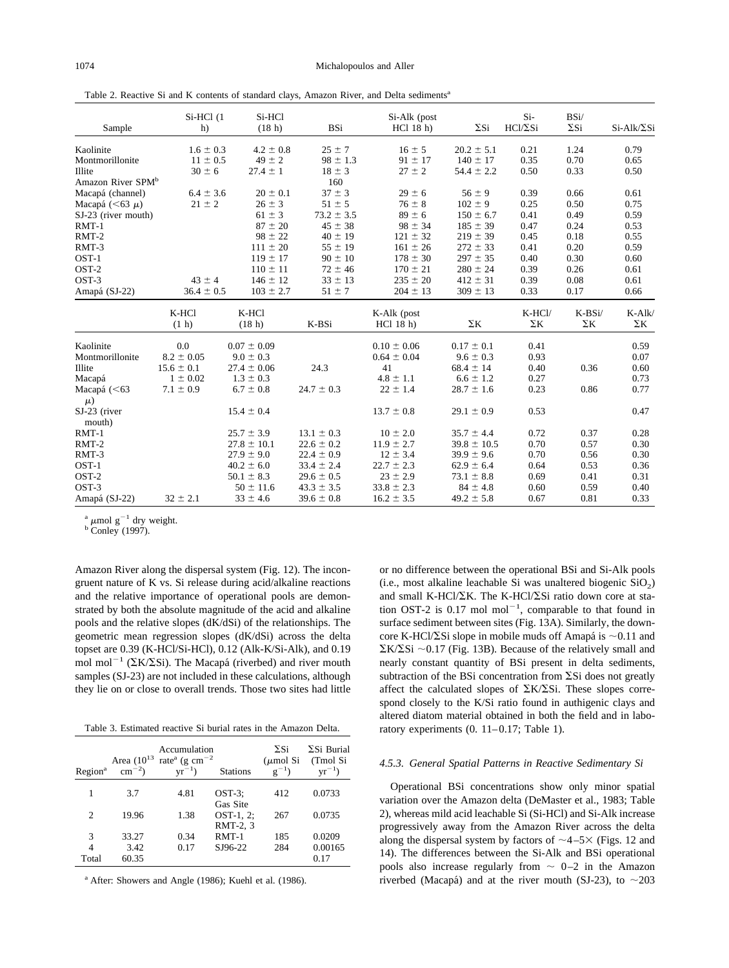<span id="page-13-0"></span>Table 2. Reactive Si and K contents of standard clays, Amazon River, and Delta sediments<sup>a</sup>

| Sample                        | $Si-HCl$ $(1)$<br>h) | Si-HCl<br>(18 h) | <b>BSi</b>     | Si-Alk (post<br>$HCl$ 18 h) | $\Sigma$ Si     | Si-<br>$HC1/\Sigma Si$ | BSi/<br>$\Sigma$ Si | Si-Alk/ΣSi           |
|-------------------------------|----------------------|------------------|----------------|-----------------------------|-----------------|------------------------|---------------------|----------------------|
| Kaolinite                     | $1.6 \pm 0.3$        | $4.2 \pm 0.8$    | $25 \pm 7$     | $16 \pm 5$                  | $20.2 \pm 5.1$  | 0.21                   | 1.24                | 0.79                 |
| Montmorillonite               | $11 \pm 0.5$         | $49 \pm 2$       | $98 \pm 1.3$   | $91 \pm 17$                 | $140 \pm 17$    | 0.35                   | 0.70                | 0.65                 |
| Illite                        | $30 \pm 6$           | $27.4 \pm 1$     | $18 \pm 3$     | $27 \pm 2$                  | $54.4 \pm 2.2$  | 0.50                   | 0.33                | 0.50                 |
| Amazon River SPM <sup>b</sup> |                      |                  | 160            |                             |                 |                        |                     |                      |
| Macapá (channel)              | $6.4 \pm 3.6$        | $20 \pm 0.1$     | $37 \pm 3$     | $29 \pm 6$                  | $56 \pm 9$      | 0.39                   | 0.66                | 0.61                 |
| Macapá ( $\leq 63 \mu$ )      | $21 \pm 2$           | $26 \pm 3$       | $51 \pm 5$     | $76 \pm 8$                  | $102 \pm 9$     | 0.25                   | 0.50                | 0.75                 |
| SJ-23 (river mouth)           |                      | $61 \pm 3$       | $73.2 \pm 3.5$ | $89 \pm 6$                  | $150 \pm 6.7$   | 0.41                   | 0.49                | 0.59                 |
| $RMT-1$                       |                      | $87 \pm 20$      | $45 \pm 38$    | $98 \pm 34$                 | $185 \pm 39$    | 0.47                   | 0.24                | 0.53                 |
| RMT-2                         |                      | $98 \pm 22$      | $40 \pm 19$    | $121 \pm 32$                | $219 \pm 39$    | 0.45                   | 0.18                | 0.55                 |
| RMT-3                         |                      | $111 \pm 20$     | $55 \pm 19$    | $161 \pm 26$                | $272 \pm 33$    | 0.41                   | 0.20                | 0.59                 |
| OST-1                         |                      | $119 \pm 17$     | $90 \pm 10$    | $178 \pm 30$                | $297 \pm 35$    | 0.40                   | 0.30                | 0.60                 |
| OST-2                         |                      | $110 \pm 11$     | $72 \pm 46$    | $170 \pm 21$                | $280 \pm 24$    | 0.39                   | 0.26                | 0.61                 |
| OST-3                         | $43 \pm 4$           | $146 \pm 12$     | $33 \pm 13$    | $235 \pm 20$                | $412 \pm 31$    | 0.39                   | 0.08                | 0.61                 |
| Amapá (SJ-22)                 | $36.4 \pm 0.5$       | $103 \pm 2.7$    | $51 \pm 7$     | $204 \pm 13$                | $309 \pm 13$    | 0.33                   | 0.17                | 0.66                 |
|                               | K-HCl<br>(1 h)       | K-HCl<br>(18 h)  | K-BSi          | K-Alk (post<br>$HCl$ 18 h)  | $\Sigma K$      | K-HCl/<br>$\Sigma K$   | K-BSi/<br>ΣΚ        | K-Alk/<br>$\Sigma K$ |
|                               |                      |                  |                |                             |                 |                        |                     |                      |
| Kaolinite                     | 0.0                  | $0.07 \pm 0.09$  |                | $0.10 \pm 0.06$             | $0.17 \pm 0.1$  | 0.41                   |                     | 0.59                 |
| Montmorillonite               | $8.2 \pm 0.05$       | $9.0 \pm 0.3$    |                | $0.64 \pm 0.04$             | $9.6 \pm 0.3$   | 0.93                   |                     | 0.07                 |
| Illite                        | $15.6 \pm 0.1$       | $27.4 \pm 0.06$  | 24.3           | 41                          | $68.4 \pm 14$   | 0.40                   | 0.36                | 0.60                 |
| Macapá                        | $1 \pm 0.02$         | $1.3 \pm 0.3$    |                | $4.8 \pm 1.1$               | $6.6 \pm 1.2$   | 0.27                   |                     | 0.73                 |
| Macapá (<63<br>$\mu$ )        | $7.1 \pm 0.9$        | $6.7 \pm 0.8$    | $24.7 \pm 0.3$ | $22 \pm 1.4$                | $28.7 \pm 1.6$  | 0.23                   | 0.86                | 0.77                 |
| SJ-23 (river<br>mouth)        |                      | $15.4 \pm 0.4$   |                | $13.7 \pm 0.8$              | $29.1 \pm 0.9$  | 0.53                   |                     | 0.47                 |
| $RMT-1$                       |                      | $25.7 \pm 3.9$   | $13.1 \pm 0.3$ | $10 \pm 2.0$                | $35.7 \pm 4.4$  | 0.72                   | 0.37                | 0.28                 |
| $RMT-2$                       |                      | $27.8 \pm 10.1$  | $22.6 \pm 0.2$ | $11.9 \pm 2.7$              | $39.8 \pm 10.5$ | 0.70                   | 0.57                | 0.30                 |
| RMT-3                         |                      | $27.9 \pm 9.0$   | $22.4 \pm 0.9$ | $12 \pm 3.4$                | $39.9 \pm 9.6$  | 0.70                   | 0.56                | 0.30                 |
| OST-1                         |                      | $40.2 \pm 6.0$   | $33.4 \pm 2.4$ | $22.7 \pm 2.3$              | $62.9 \pm 6.4$  | 0.64                   | 0.53                | 0.36                 |
| OST-2                         |                      | $50.1 \pm 8.3$   | $29.6 \pm 0.5$ | $23 \pm 2.9$                | $73.1 \pm 8.8$  | 0.69                   | 0.41                | 0.31                 |
| OST-3                         |                      | $50 \pm 11.6$    | $43.3 \pm 3.5$ | $33.8 \pm 2.3$              | $84 \pm 4.8$    | 0.60                   | 0.59                | 0.40                 |
| Amapá (SJ-22)                 | $32 \pm 2.1$         | $33 \pm 4.6$     | $39.6 \pm 0.8$ | $16.2 \pm 3.5$              | $49.2 \pm 5.8$  | 0.67                   | 0.81                | 0.33                 |

<sup>a</sup>  $\mu$ mol g<sup>-1</sup> dry weight.<br><sup>b</sup> [Conley \(1997\).](#page-22-0)

Amazon River along the dispersal system [\(Fig. 12\)](#page-14-0). The incongruent nature of K vs. Si release during acid/alkaline reactions and the relative importance of operational pools are demonstrated by both the absolute magnitude of the acid and alkaline pools and the relative slopes (dK/dSi) of the relationships. The geometric mean regression slopes (dK/dSi) across the delta topset are 0.39 (K-HCl/Si-HCl), 0.12 (Alk-K/Si-Alk), and 0.19 mol mol<sup>-1</sup> ( $\Sigma K/\Sigma Si$ ). The Macapá (riverbed) and river mouth samples (SJ-23) are not included in these calculations, although they lie on or close to overall trends. Those two sites had little

|  | Table 3. Estimated reactive Si burial rates in the Amazon Delta. |  |  |  |  |  |  |  |
|--|------------------------------------------------------------------|--|--|--|--|--|--|--|
|--|------------------------------------------------------------------|--|--|--|--|--|--|--|

| Region <sup>a</sup> | Area $(10^{13})$<br>$\text{cm}^{-2}$ ) | Accumulation<br>rate <sup>a</sup> (g cm <sup><math>-2</math></sup> | <b>Stations</b> | $\Sigma$ Si<br>$(\mu$ mol Si<br>$g^{-1}$ | $\Sigma$ Si Burial<br>(Tmol Si |
|---------------------|----------------------------------------|--------------------------------------------------------------------|-----------------|------------------------------------------|--------------------------------|
| 1                   | 3.7                                    | 4.81                                                               | $OST-3$ :       | 412                                      | 0.0733                         |
|                     |                                        |                                                                    | Gas Site        |                                          |                                |
| $\mathfrak{D}$      | 19.96                                  | 1.38                                                               | OST-1, 2:       | 267                                      | 0.0735                         |
|                     |                                        |                                                                    | RMT-2, 3        |                                          |                                |
| 3                   | 33.27                                  | 0.34                                                               | $RMT-1$         | 185                                      | 0.0209                         |
| 4                   | 3.42                                   | 0.17                                                               | SJ96-22         | 284                                      | 0.00165                        |
| Total               | 60.35                                  |                                                                    |                 |                                          | 0.17                           |

<sup>a</sup> After: [Showers and Angle \(1986\); Kuehl et al. \(1986\).](#page-22-0)

or no difference between the operational BSi and Si-Alk pools (i.e., most alkaline leachable Si was unaltered biogenic  $SiO<sub>2</sub>$ ) and small K-HCl/ $\Sigma$ K. The K-HCl/ $\Sigma$ Si ratio down core at station OST-2 is 0.17 mol  $mol^{-1}$ , comparable to that found in surface sediment between sites [\(Fig. 13A\)](#page-15-0). Similarly, the downcore K-HCl/ $\Sigma$ Si slope in mobile muds off Amapá is  $\sim$ 0.11 and  $\Sigma K/\Sigma S$ i ~0.17 [\(Fig. 13B\)](#page-15-0). Because of the relatively small and nearly constant quantity of BSi present in delta sediments, subtraction of the BSi concentration from  $\Sigma$ Si does not greatly affect the calculated slopes of  $\Sigma K/\Sigma S$ i. These slopes correspond closely to the K/Si ratio found in authigenic clays and altered diatom material obtained in both the field and in laboratory experiments (0. 11–0.17; [Table 1\)](#page-9-0).

# *4.5.3. General Spatial Patterns in Reactive Sedimentary Si*

Operational BSi concentrations show only minor spatial variation over the Amazon delta [\(DeMaster et al., 1983;](#page-22-0) Table 2), whereas mild acid leachable Si (Si-HCl) and Si-Alk increase progressively away from the Amazon River across the delta along the dispersal system by factors of  $\sim$ 4-5 $\times$  [\(Figs. 12](#page-14-0) and [14\)](#page-15-0). The differences between the Si-Alk and BSi operational pools also increase regularly from  $\sim 0-2$  in the Amazon riverbed (Macapá) and at the river mouth (SJ-23), to  $\sim$ 203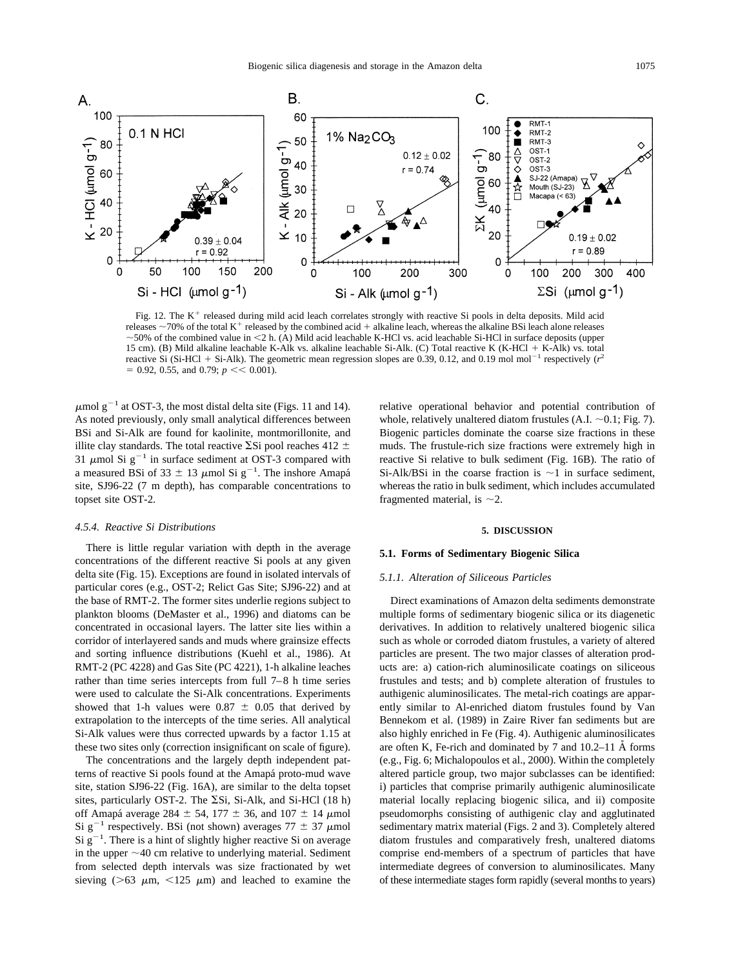<span id="page-14-0"></span>

Fig. 12. The  $K^+$  released during mild acid leach correlates strongly with reactive Si pools in delta deposits. Mild acid releases  $\sim$  70% of the total K<sup>+</sup> released by the combined acid + alkaline leach, whereas the alkaline BSi leach alone releases  $\sim$  50% of the combined value in  $\leq$  h. (A) Mild acid leachable K-HCl vs. acid leachable Si-HCl in surface deposits (upper 15 cm). (B) Mild alkaline leachable K-Alk vs. alkaline leachable Si-Alk. (C) Total reactive K (K-HCl  $+$  K-Alk) vs. total reactive Si (Si-HCl + Si-Alk). The geometric mean regression slopes are 0.39, 0.12, and 0.19 mol mol<sup>-1</sup> respectively ( $r^2$  $= 0.92, 0.55,$  and 0.79;  $p \lt 0.001$ ).

 $\mu$ mol g<sup>-1</sup> at OST-3, the most distal delta site [\(Figs. 11](#page-12-0) and [14\)](#page-15-0). As noted previously, only small analytical differences between BSi and Si-Alk are found for kaolinite, montmorillonite, and illite clay standards. The total reactive  $\Sigma$ Si pool reaches 412  $\pm$ 31  $\mu$ mol Si g<sup>-1</sup> in surface sediment at OST-3 compared with a measured BSi of 33  $\pm$  13  $\mu$ mol Si g<sup>-1</sup>. The inshore Amapá site, SJ96-22 (7 m depth), has comparable concentrations to topset site OST-2.

# *4.5.4. Reactive Si Distributions*

There is little regular variation with depth in the average concentrations of the different reactive Si pools at any given delta site [\(Fig. 15\)](#page-16-0). Exceptions are found in isolated intervals of particular cores (e.g., OST-2; Relict Gas Site; SJ96-22) and at the base of RMT-2. The former sites underlie regions subject to plankton blooms [\(DeMaster et al., 1996\)](#page-22-0) and diatoms can be concentrated in occasional layers. The latter site lies within a corridor of interlayered sands and muds where grainsize effects and sorting influence distributions [\(Kuehl et al., 1986\)](#page-23-0). At RMT-2 (PC 4228) and Gas Site (PC 4221), 1-h alkaline leaches rather than time series intercepts from full 7–8 h time series were used to calculate the Si-Alk concentrations. Experiments showed that 1-h values were  $0.87 \pm 0.05$  that derived by extrapolation to the intercepts of the time series. All analytical Si-Alk values were thus corrected upwards by a factor 1.15 at these two sites only (correction insignificant on scale of figure).

The concentrations and the largely depth independent patterns of reactive Si pools found at the Amapá proto-mud wave site, station SJ96-22 [\(Fig. 16A\)](#page-17-0), are similar to the delta topset sites, particularly OST-2. The  $\Sigma$ Si, Si-Alk, and Si-HCl (18 h) off Amapá average 284  $\pm$  54, 177  $\pm$  36, and 107  $\pm$  14  $\mu$ mol Si g<sup>-1</sup> respectively. BSi (not shown) averages  $77 \pm 37$  µmol Si  $g^{-1}$ . There is a hint of slightly higher reactive Si on average in the upper  $\sim$  40 cm relative to underlying material. Sediment from selected depth intervals was size fractionated by wet sieving ( $>63 \mu m$ ,  $< 125 \mu m$ ) and leached to examine the relative operational behavior and potential contribution of whole, relatively unaltered diatom frustules (A.I.  $\sim$  0.1; [Fig. 7\)](#page-10-0). Biogenic particles dominate the coarse size fractions in these muds. The frustule-rich size fractions were extremely high in reactive Si relative to bulk sediment [\(Fig. 16B\)](#page-17-0). The ratio of Si-Alk/BSi in the coarse fraction is  $\sim$ 1 in surface sediment, whereas the ratio in bulk sediment, which includes accumulated fragmented material, is  $\sim$ 2.

#### **5. DISCUSSION**

#### **5.1. Forms of Sedimentary Biogenic Silica**

#### *5.1.1. Alteration of Siliceous Particles*

Direct examinations of Amazon delta sediments demonstrate multiple forms of sedimentary biogenic silica or its diagenetic derivatives. In addition to relatively unaltered biogenic silica such as whole or corroded diatom frustules, a variety of altered particles are present. The two major classes of alteration products are: a) cation-rich aluminosilicate coatings on siliceous frustules and tests; and b) complete alteration of frustules to authigenic aluminosilicates. The metal-rich coatings are apparently similar to Al-enriched diatom frustules found by [Van](#page-24-0) [Bennekom et al. \(1989\)](#page-24-0) in Zaire River fan sediments but are also highly enriched in Fe [\(Fig. 4\)](#page-7-0). Authigenic aluminosilicates are often K, Fe-rich and dominated by  $7$  and  $10.2-11$  Å forms (e.g., [Fig. 6;](#page-9-0) [Michalopoulos et al., 2000\)](#page-23-0). Within the completely altered particle group, two major subclasses can be identified: i) particles that comprise primarily authigenic aluminosilicate material locally replacing biogenic silica, and ii) composite pseudomorphs consisting of authigenic clay and agglutinated sedimentary matrix material [\(Figs. 2](#page-5-0) and [3\)](#page-6-0). Completely altered diatom frustules and comparatively fresh, unaltered diatoms comprise end-members of a spectrum of particles that have intermediate degrees of conversion to aluminosilicates. Many of these intermediate stages form rapidly (several months to years)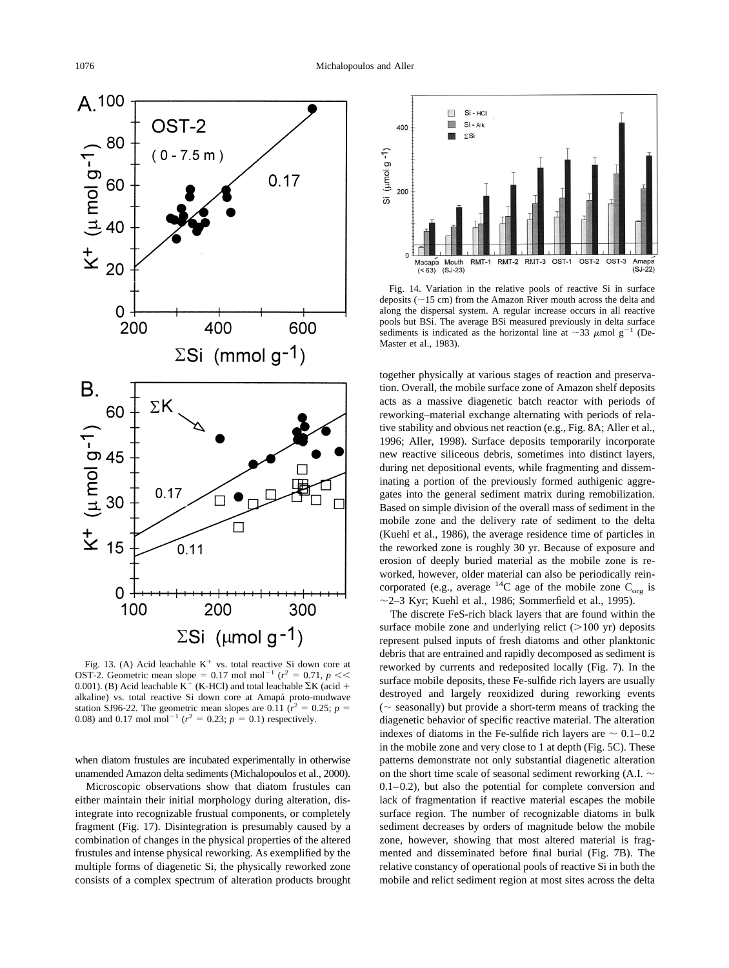<span id="page-15-0"></span>

Fig. 13. (A) Acid leachable  $K^+$  vs. total reactive Si down core at OST-2. Geometric mean slope =  $0.17$  mol mol<sup>-1</sup> ( $r^2 = 0.71$ ,  $p \ll$ 0.001). (B) Acid leachable K<sup>+</sup> (K-HCl) and total leachable  $\Sigma K$  (acid + alkaline) vs. total reactive Si down core at Amapa´ proto-mudwave station SJ96-22. The geometric mean slopes are 0.11  $(r^2 = 0.25; p =$ 0.08) and 0.17 mol mol<sup>-1</sup> ( $r^2 = 0.23$ ;  $p = 0.1$ ) respectively.

when diatom frustules are incubated experimentally in otherwise unamended Amazon delta sediments [\(Michalopoulos et al., 2000\)](#page-23-0).

Microscopic observations show that diatom frustules can either maintain their initial morphology during alteration, disintegrate into recognizable frustual components, or completely fragment [\(Fig. 17\)](#page-18-0). Disintegration is presumably caused by a combination of changes in the physical properties of the altered frustules and intense physical reworking. As exemplified by the multiple forms of diagenetic Si, the physically reworked zone consists of a complex spectrum of alteration products brought



Fig. 14. Variation in the relative pools of reactive Si in surface deposits  $(\sim 15$  cm) from the Amazon River mouth across the delta and along the dispersal system. A regular increase occurs in all reactive pools but BSi. The average BSi measured previously in delta surface sediments is indicated as the horizontal line at  $\sim$ 33  $\mu$ mol g<sup>-1</sup> [\(De-](#page-22-0)[Master et al., 1983\)](#page-22-0).

together physically at various stages of reaction and preservation. Overall, the mobile surface zone of Amazon shelf deposits acts as a massive diagenetic batch reactor with periods of reworking–material exchange alternating with periods of relative stability and obvious net reaction (e.g., [Fig. 8A;](#page-10-0) [Aller et al.,](#page-22-0) [1996; Aller, 1998\)](#page-22-0). Surface deposits temporarily incorporate new reactive siliceous debris, sometimes into distinct layers, during net depositional events, while fragmenting and disseminating a portion of the previously formed authigenic aggregates into the general sediment matrix during remobilization. Based on simple division of the overall mass of sediment in the mobile zone and the delivery rate of sediment to the delta [\(Kuehl et al., 1986\)](#page-23-0), the average residence time of particles in the reworked zone is roughly 30 yr. Because of exposure and erosion of deeply buried material as the mobile zone is reworked, however, older material can also be periodically reincorporated (e.g., average  $^{14}C$  age of the mobile zone  $C_{org}$  is  $\sim$ 2–3 Kyr; [Kuehl et al., 1986; Sommerfield et al., 1995\)](#page-23-0).

The discrete FeS-rich black layers that are found within the surface mobile zone and underlying relict  $(>100 \text{ yr})$  deposits represent pulsed inputs of fresh diatoms and other planktonic debris that are entrained and rapidly decomposed as sediment is reworked by currents and redeposited locally [\(Fig. 7\)](#page-10-0). In the surface mobile deposits, these Fe-sulfide rich layers are usually destroyed and largely reoxidized during reworking events  $($  - seasonally) but provide a short-term means of tracking the diagenetic behavior of specific reactive material. The alteration indexes of diatoms in the Fe-sulfide rich layers are  $\sim 0.1 - 0.2$ in the mobile zone and very close to 1 at depth [\(Fig. 5C\)](#page-8-0). These patterns demonstrate not only substantial diagenetic alteration on the short time scale of seasonal sediment reworking (A.I.  $\sim$ 0.1–0.2), but also the potential for complete conversion and lack of fragmentation if reactive material escapes the mobile surface region. The number of recognizable diatoms in bulk sediment decreases by orders of magnitude below the mobile zone, however, showing that most altered material is fragmented and disseminated before final burial [\(Fig. 7B\)](#page-10-0). The relative constancy of operational pools of reactive Si in both the mobile and relict sediment region at most sites across the delta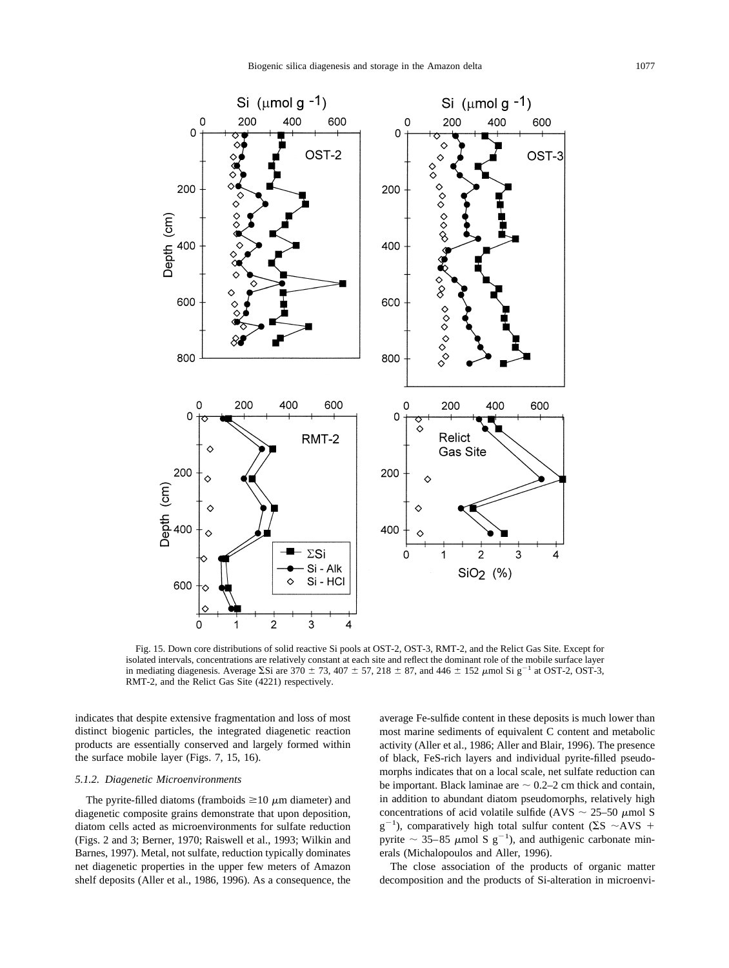<span id="page-16-0"></span>

Fig. 15. Down core distributions of solid reactive Si pools at OST-2, OST-3, RMT-2, and the Relict Gas Site. Except for isolated intervals, concentrations are relatively constant at each site and reflect the dominant role of the mobile surface layer in mediating diagenesis. Average  $\Sigma$ Si are 370  $\pm$  73, 407  $\pm$  57, 218  $\pm$  87, and 446  $\pm$  152  $\mu$ mol Si g<sup>-1</sup> at OST-2, OST-3, RMT-2, and the Relict Gas Site (4221) respectively.

indicates that despite extensive fragmentation and loss of most distinct biogenic particles, the integrated diagenetic reaction products are essentially conserved and largely formed within the surface mobile layer [\(Figs. 7,](#page-10-0) 15, [16\)](#page-17-0).

# *5.1.2. Diagenetic Microenvironments*

The pyrite-filled diatoms (framboids  $\geq$  10  $\mu$ m diameter) and diagenetic composite grains demonstrate that upon deposition, diatom cells acted as microenvironments for sulfate reduction [\(Figs. 2](#page-5-0) and [3;](#page-6-0) [Berner, 1970; Raiswell et al., 1993; Wilkin and](#page-22-0) [Barnes, 1997\)](#page-22-0). Metal, not sulfate, reduction typically dominates net diagenetic properties in the upper few meters of Amazon shelf deposits [\(Aller et al., 1986, 1996\)](#page-22-0). As a consequence, the

average Fe-sulfide content in these deposits is much lower than most marine sediments of equivalent C content and metabolic activity [\(Aller et al., 1986; Aller and Blair, 1996\)](#page-22-0). The presence of black, FeS-rich layers and individual pyrite-filled pseudomorphs indicates that on a local scale, net sulfate reduction can be important. Black laminae are  $\sim 0.2{\text -}2$  cm thick and contain, in addition to abundant diatom pseudomorphs, relatively high concentrations of acid volatile sulfide (AVS  $\sim$  25–50  $\mu$ mol S  $g^{-1}$ ), comparatively high total sulfur content ( $\Sigma S \sim AVS$  + pyrite  $\sim$  35–85  $\mu$ mol S g<sup>-1</sup>), and authigenic carbonate minerals [\(Michalopoulos and Aller, 1996\)](#page-23-0).

The close association of the products of organic matter decomposition and the products of Si-alteration in microenvi-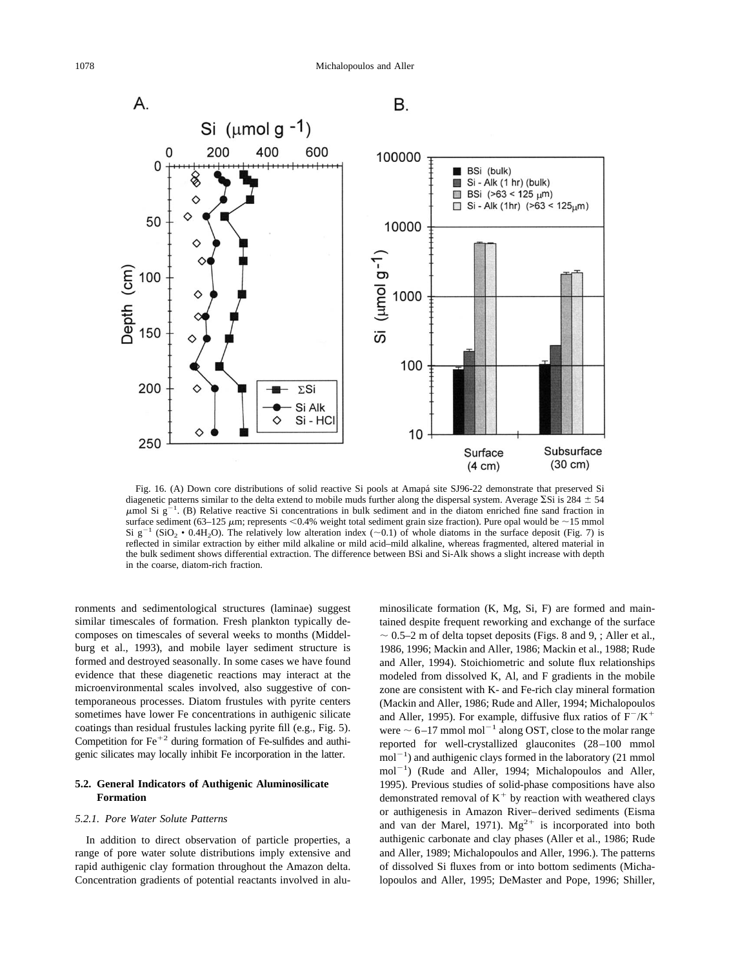<span id="page-17-0"></span>

Fig. 16. (A) Down core distributions of solid reactive Si pools at Amapá site SJ96-22 demonstrate that preserved Si diagenetic patterns similar to the delta extend to mobile muds further along the dispersal system. Average  $\Sigma Si$  is 284  $\pm$  54  $\mu$ mol Si g<sup>-1</sup>. (B) Relative reactive Si concentrations in bulk sediment and in the diatom enriched fine sand fraction in surface sediment (63–125  $\mu$ m; represents <0.4% weight total sediment grain size fraction). Pure opal would be  $\sim$ 15 mmol Si  $g^{-1}$  (SiO<sub>2</sub> • 0.4H<sub>2</sub>O). The relatively low alteration index (~0.1) of whole diatoms in the surface deposit [\(Fig. 7\)](#page-10-0) is reflected in similar extraction by either mild alkaline or mild acid–mild alkaline, whereas fragmented, altered material in the bulk sediment shows differential extraction. The difference between BSi and Si-Alk shows a slight increase with depth in the coarse, diatom-rich fraction.

ronments and sedimentological structures (laminae) suggest similar timescales of formation. Fresh plankton typically decomposes on timescales of several weeks to months [\(Middel](#page-23-0)[burg et al., 1993\)](#page-23-0), and mobile layer sediment structure is formed and destroyed seasonally. In some cases we have found evidence that these diagenetic reactions may interact at the microenvironmental scales involved, also suggestive of contemporaneous processes. Diatom frustules with pyrite centers sometimes have lower Fe concentrations in authigenic silicate coatings than residual frustules lacking pyrite fill (e.g., [Fig. 5\)](#page-8-0). Competition for  $Fe<sup>+2</sup>$  during formation of Fe-sulfides and authigenic silicates may locally inhibit Fe incorporation in the latter.

# **5.2. General Indicators of Authigenic Aluminosilicate Formation**

# *5.2.1. Pore Water Solute Patterns*

In addition to direct observation of particle properties, a range of pore water solute distributions imply extensive and rapid authigenic clay formation throughout the Amazon delta. Concentration gradients of potential reactants involved in aluminosilicate formation (K, Mg, Si, F) are formed and maintained despite frequent reworking and exchange of the surface  $\sim$  0.5–2 m of delta topset deposits [\(Figs. 8](#page-10-0) and [9,](#page-11-0) ; [Aller et al.,](#page-22-0) [1986, 1996; Mackin and Aller, 1986; Mackin et al., 1988; Rude](#page-22-0) [and Aller, 1994\)](#page-22-0). Stoichiometric and solute flux relationships modeled from dissolved K, Al, and F gradients in the mobile zone are consistent with K- and Fe-rich clay mineral formation [\(Mackin and Aller, 1986; Rude and Aller, 1994; Michalopoulos](#page-23-0) [and Aller, 1995\)](#page-23-0). For example, diffusive flux ratios of  $F^-/K^+$ were  $\sim$  6–17 mmol mol<sup>-1</sup> along OST, close to the molar range reported for well-crystallized glauconites (28–100 mmol  $mol^{-1}$ ) and authigenic clays formed in the laboratory (21 mmol  $mol^{-1}$ ) [\(Rude and Aller, 1994; Michalopoulos and Aller,](#page-23-0) [1995\)](#page-23-0). Previous studies of solid-phase compositions have also demonstrated removal of  $K^+$  by reaction with weathered clays or authigenesis in Amazon River–derived sediments [\(Eisma](#page-22-0) [and van der Marel, 1971\)](#page-22-0).  $Mg^{2+}$  is incorporated into both authigenic carbonate and clay phases [\(Aller et al., 1986; Rude](#page-22-0) [and Aller, 1989; Michalopoulos and Aller, 1996.\)](#page-22-0). The patterns of dissolved Si fluxes from or into bottom sediments [\(Micha](#page-23-0)lopoulos and Aller, 1995; DeMaster and Pope, 1996; Shiller,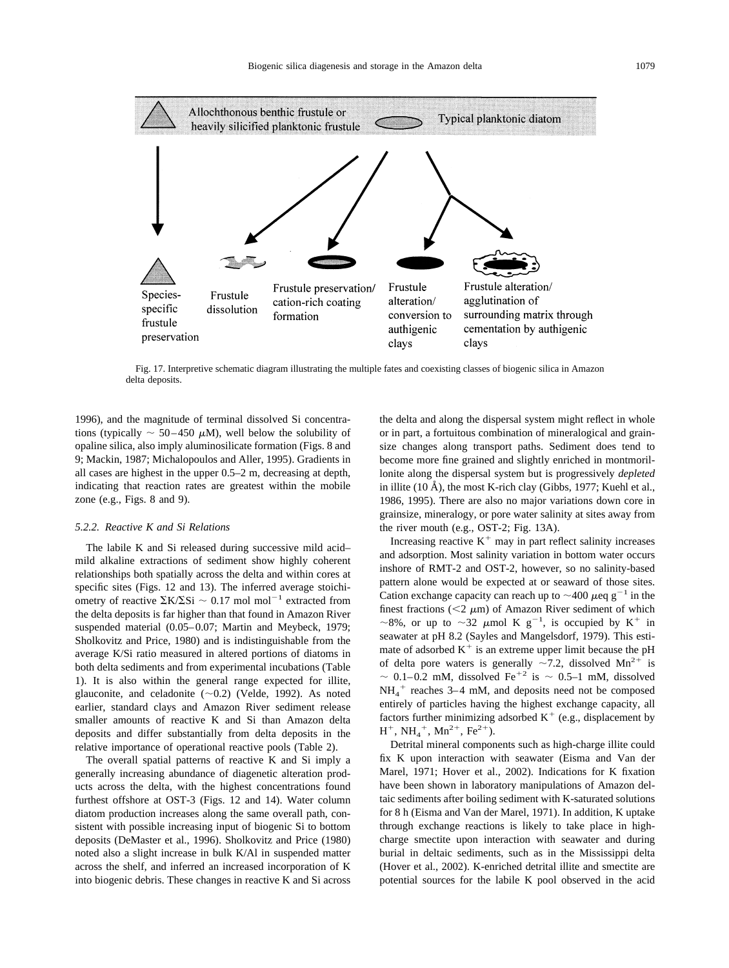<span id="page-18-0"></span>

Fig. 17. Interpretive schematic diagram illustrating the multiple fates and coexisting classes of biogenic silica in Amazon delta deposits.

[1996\)](#page-23-0), and the magnitude of terminal dissolved Si concentrations (typically  $\sim$  50–450  $\mu$ M), well below the solubility of opaline silica, also imply aluminosilicate formation [\(Figs. 8](#page-10-0) and [9;](#page-11-0) [Mackin, 1987; Michalopoulos and Aller, 1995\)](#page-23-0). Gradients in all cases are highest in the upper 0.5–2 m, decreasing at depth, indicating that reaction rates are greatest within the mobile zone (e.g., [Figs. 8](#page-10-0) and [9\)](#page-11-0).

# *5.2.2. Reactive K and Si Relations*

The labile K and Si released during successive mild acid– mild alkaline extractions of sediment show highly coherent relationships both spatially across the delta and within cores at specific sites [\(Figs. 12](#page-14-0) and [13\)](#page-15-0). The inferred average stoichiometry of reactive  $\Sigma K/\Sigma Si \sim 0.17$  mol mol<sup>-1</sup> extracted from the delta deposits is far higher than that found in Amazon River suspended material (0.05–0.07; [Martin and Meybeck, 1979;](#page-23-0) [Sholkovitz and Price, 1980\)](#page-23-0) and is indistinguishable from the average K/Si ratio measured in altered portions of diatoms in both delta sediments and from experimental incubations [\(Table](#page-9-0) [1\)](#page-9-0). It is also within the general range expected for illite, glauconite, and celadonite  $(\sim 0.2)$  [\(Velde, 1992\)](#page-24-0). As noted earlier, standard clays and Amazon River sediment release smaller amounts of reactive K and Si than Amazon delta deposits and differ substantially from delta deposits in the relative importance of operational reactive pools [\(Table 2\)](#page-13-0).

The overall spatial patterns of reactive K and Si imply a generally increasing abundance of diagenetic alteration products across the delta, with the highest concentrations found furthest offshore at OST-3 [\(Figs. 12](#page-14-0) and [14\)](#page-15-0). Water column diatom production increases along the same overall path, consistent with possible increasing input of biogenic Si to bottom deposits [\(DeMaster et al., 1996\)](#page-22-0). [Sholkovitz and Price \(1980\)](#page-24-0) noted also a slight increase in bulk K/Al in suspended matter across the shelf, and inferred an increased incorporation of K into biogenic debris. These changes in reactive K and Si across the delta and along the dispersal system might reflect in whole or in part, a fortuitous combination of mineralogical and grainsize changes along transport paths. Sediment does tend to become more fine grained and slightly enriched in montmorillonite along the dispersal system but is progressively *depleted* in illite  $(10 \text{ Å})$ , the most K-rich clay [\(Gibbs, 1977; Kuehl et al.,](#page-22-0) [1986, 1995\)](#page-22-0). There are also no major variations down core in grainsize, mineralogy, or pore water salinity at sites away from the river mouth (e.g., OST-2; [Fig. 13A\)](#page-15-0).

Increasing reactive  $K^+$  may in part reflect salinity increases and adsorption. Most salinity variation in bottom water occurs inshore of RMT-2 and OST-2, however, so no salinity-based pattern alone would be expected at or seaward of those sites. Cation exchange capacity can reach up to  $\sim$  400  $\mu$ eq g<sup>-1</sup> in the finest fractions ( $\leq$ 2  $\mu$ m) of Amazon River sediment of which ~8%, or up to ~32  $\mu$ mol K g<sup>-1</sup>, is occupied by K<sup>+</sup> in seawater at pH 8.2 [\(Sayles and Mangelsdorf, 1979\)](#page-24-0). This estimate of adsorbed  $K^+$  is an extreme upper limit because the pH of delta pore waters is generally  $\sim$ 7.2, dissolved Mn<sup>2+</sup> is  $\sim 0.1 - 0.2$  mM, dissolved Fe<sup>+2</sup> is  $\sim 0.5 - 1$  mM, dissolved  $NH_4^+$  reaches 3–4 mM, and deposits need not be composed entirely of particles having the highest exchange capacity, all factors further minimizing adsorbed  $K^+$  (e.g., displacement by  $H^+$ , NH<sub>4</sub><sup>+</sup>, Mn<sup>2+</sup>, Fe<sup>2+</sup>).

Detrital mineral components such as high-charge illite could fix K upon interaction with seawater [\(Eisma and Van der](#page-22-0) [Marel, 1971; Hover et al., 2002\)](#page-22-0). Indications for K fixation have been shown in laboratory manipulations of Amazon deltaic sediments after boiling sediment with K-saturated solutions for 8 h [\(Eisma and Van der Marel, 1971\)](#page-22-0). In addition, K uptake through exchange reactions is likely to take place in highcharge smectite upon interaction with seawater and during burial in deltaic sediments, such as in the Mississippi delta [\(Hover et al., 2002\)](#page-22-0). K-enriched detrital illite and smectite are potential sources for the labile K pool observed in the acid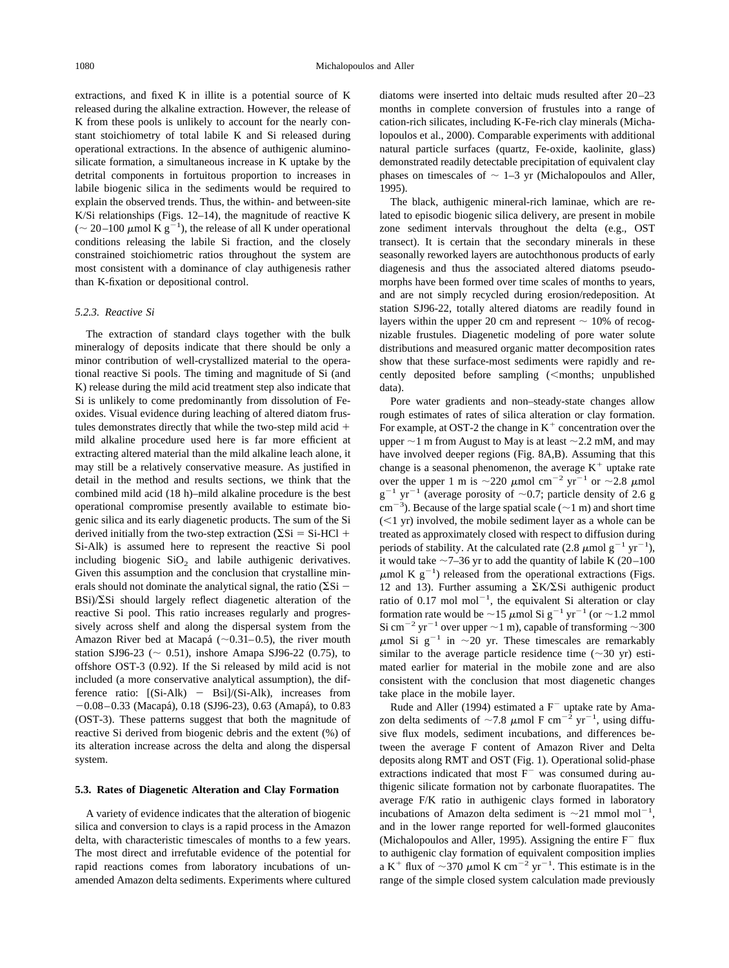extractions, and fixed K in illite is a potential source of K released during the alkaline extraction. However, the release of K from these pools is unlikely to account for the nearly constant stoichiometry of total labile K and Si released during operational extractions. In the absence of authigenic aluminosilicate formation, a simultaneous increase in K uptake by the detrital components in fortuitous proportion to increases in labile biogenic silica in the sediments would be required to explain the observed trends. Thus, the within- and between-site K/Si relationships [\(Figs. 12–14\)](#page-14-0), the magnitude of reactive K  $\sim$  20–100  $\mu$ mol K g<sup>-1</sup>), the release of all K under operational conditions releasing the labile Si fraction, and the closely constrained stoichiometric ratios throughout the system are most consistent with a dominance of clay authigenesis rather than K-fixation or depositional control.

#### *5.2.3. Reactive Si*

The extraction of standard clays together with the bulk mineralogy of deposits indicate that there should be only a minor contribution of well-crystallized material to the operational reactive Si pools. The timing and magnitude of Si (and K) release during the mild acid treatment step also indicate that Si is unlikely to come predominantly from dissolution of Feoxides. Visual evidence during leaching of altered diatom frustules demonstrates directly that while the two-step mild acid  $+$ mild alkaline procedure used here is far more efficient at extracting altered material than the mild alkaline leach alone, it may still be a relatively conservative measure. As justified in detail in the method and results sections, we think that the combined mild acid (18 h)–mild alkaline procedure is the best operational compromise presently available to estimate biogenic silica and its early diagenetic products. The sum of the Si derived initially from the two-step extraction  $(\Sigma Si = Si-HCl +$ Si-Alk) is assumed here to represent the reactive Si pool including biogenic  $SiO<sub>2</sub>$  and labile authigenic derivatives. Given this assumption and the conclusion that crystalline minerals should not dominate the analytical signal, the ratio  $(SSi BSi/\Sigma Si$  should largely reflect diagenetic alteration of the reactive Si pool. This ratio increases regularly and progressively across shelf and along the dispersal system from the Amazon River bed at Macapá  $(\sim 0.31 - 0.5)$ , the river mouth station SJ96-23 ( $\sim$  0.51), inshore Amapa SJ96-22 (0.75), to offshore OST-3 (0.92). If the Si released by mild acid is not included (a more conservative analytical assumption), the difference ratio:  $[(Si-Alk) - Bis]/(Si-Alk)$ , increases from  $-0.08-0.33$  (Macapá), 0.18 (SJ96-23), 0.63 (Amapá), to 0.83 (OST-3). These patterns suggest that both the magnitude of reactive Si derived from biogenic debris and the extent (%) of its alteration increase across the delta and along the dispersal system.

#### **5.3. Rates of Diagenetic Alteration and Clay Formation**

A variety of evidence indicates that the alteration of biogenic silica and conversion to clays is a rapid process in the Amazon delta, with characteristic timescales of months to a few years. The most direct and irrefutable evidence of the potential for rapid reactions comes from laboratory incubations of unamended Amazon delta sediments. Experiments where cultured

diatoms were inserted into deltaic muds resulted after 20–23 months in complete conversion of frustules into a range of cation-rich silicates, including K-Fe-rich clay minerals [\(Micha](#page-23-0)[lopoulos et al., 2000\)](#page-23-0). Comparable experiments with additional natural particle surfaces (quartz, Fe-oxide, kaolinite, glass) demonstrated readily detectable precipitation of equivalent clay phases on timescales of  $\sim 1-3$  yr [\(Michalopoulos and Aller,](#page-23-0) [1995\)](#page-23-0).

The black, authigenic mineral-rich laminae, which are related to episodic biogenic silica delivery, are present in mobile zone sediment intervals throughout the delta (e.g., OST transect). It is certain that the secondary minerals in these seasonally reworked layers are autochthonous products of early diagenesis and thus the associated altered diatoms pseudomorphs have been formed over time scales of months to years, and are not simply recycled during erosion/redeposition. At station SJ96-22, totally altered diatoms are readily found in layers within the upper 20 cm and represent  $\sim$  10% of recognizable frustules. Diagenetic modeling of pore water solute distributions and measured organic matter decomposition rates show that these surface-most sediments were rapidly and recently deposited before sampling (<months; unpublished data).

Pore water gradients and non–steady-state changes allow rough estimates of rates of silica alteration or clay formation. For example, at OST-2 the change in  $K<sup>+</sup>$  concentration over the upper  $\sim$  1 m from August to May is at least  $\sim$  2.2 mM, and may have involved deeper regions [\(Fig. 8A,B\)](#page-10-0). Assuming that this change is a seasonal phenomenon, the average  $K^+$  uptake rate over the upper 1 m is  $\sim$ 220  $\mu$ mol cm<sup>-2</sup> yr<sup>-1</sup> or  $\sim$ 2.8  $\mu$ mol  $g^{-1}$  yr<sup>-1</sup> (average porosity of ~0.7; particle density of 2.6 g  $\text{cm}^{-3}$ ). Because of the large spatial scale ( $\sim$ 1 m) and short time  $(<1$  yr) involved, the mobile sediment layer as a whole can be treated as approximately closed with respect to diffusion during periods of stability. At the calculated rate (2.8  $\mu$ mol g<sup>-1</sup> yr<sup>-1</sup>), it would take  $\sim$ 7–36 yr to add the quantity of labile K (20–100  $\mu$ mol K g<sup>-1</sup>) released from the operational extractions [\(Figs.](#page-14-0) [12](#page-14-0) and [13\)](#page-15-0). Further assuming a  $\Sigma K/\Sigma S$  authigenic product ratio of 0.17 mol mol<sup>-1</sup>, the equivalent Si alteration or clay formation rate would be  $\sim$  15  $\mu$ mol Si g<sup>-1</sup> yr<sup>-1</sup> (or  $\sim$  1.2 mmol Si cm<sup>-2</sup> yr<sup>-1</sup> over upper  $\sim$ 1 m), capable of transforming  $\sim$ 300  $\mu$ mol Si g<sup>-1</sup> in ~20 yr. These timescales are remarkably similar to the average particle residence time  $(\sim 30 \text{ yr})$  estimated earlier for material in the mobile zone and are also consistent with the conclusion that most diagenetic changes take place in the mobile layer.

[Rude and Aller \(1994\)](#page-23-0) estimated a  $F^-$  uptake rate by Amazon delta sediments of  $\sim$ 7.8  $\mu$ mol F cm<sup>-2</sup> yr<sup>-1</sup>, using diffusive flux models, sediment incubations, and differences between the average F content of Amazon River and Delta deposits along RMT and OST [\(Fig. 1\)](#page-2-0). Operational solid-phase extractions indicated that most  $F^-$  was consumed during authigenic silicate formation not by carbonate fluorapatites. The average F/K ratio in authigenic clays formed in laboratory incubations of Amazon delta sediment is  $\sim$ 21 mmol mol<sup>-1</sup>, and in the lower range reported for well-formed glauconites [\(Michalopoulos and Aller, 1995\)](#page-23-0). Assigning the entire  $F^-$  flux to authigenic clay formation of equivalent composition implies a K<sup>+</sup> flux of  $\sim$ 370  $\mu$ mol K cm<sup>-2</sup> yr<sup>-1</sup>. This estimate is in the range of the simple closed system calculation made previously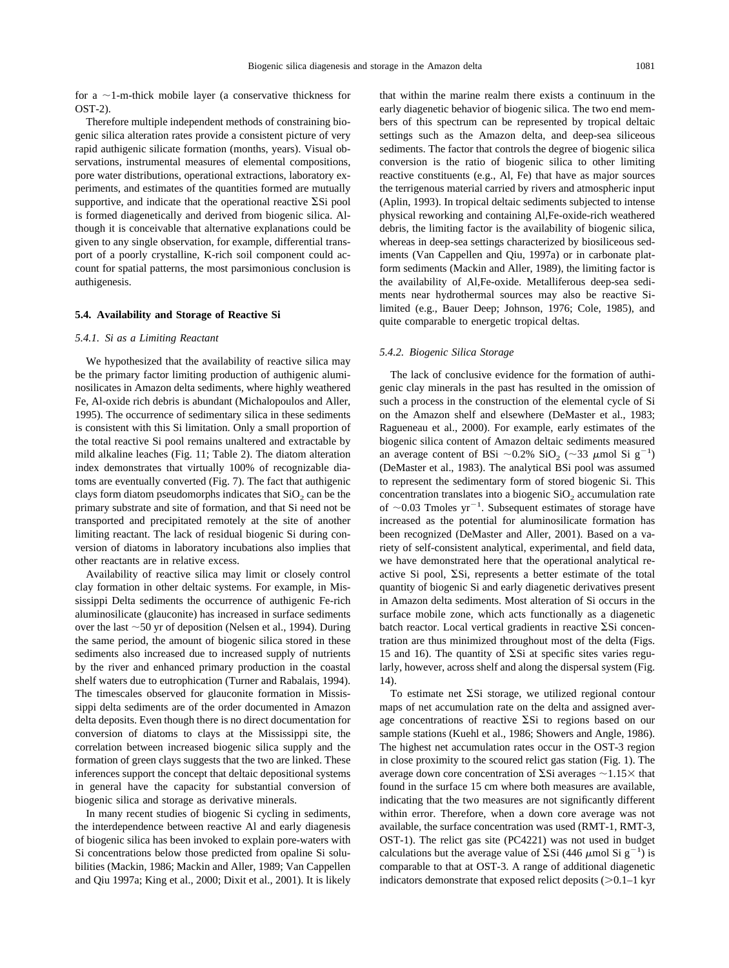for a  $\sim$  1-m-thick mobile layer (a conservative thickness for OST-2).

Therefore multiple independent methods of constraining biogenic silica alteration rates provide a consistent picture of very rapid authigenic silicate formation (months, years). Visual observations, instrumental measures of elemental compositions, pore water distributions, operational extractions, laboratory experiments, and estimates of the quantities formed are mutually supportive, and indicate that the operational reactive  $\Sigma$ Si pool is formed diagenetically and derived from biogenic silica. Although it is conceivable that alternative explanations could be given to any single observation, for example, differential transport of a poorly crystalline, K-rich soil component could account for spatial patterns, the most parsimonious conclusion is authigenesis.

# **5.4. Availability and Storage of Reactive Si**

# *5.4.1. Si as a Limiting Reactant*

We hypothesized that the availability of reactive silica may be the primary factor limiting production of authigenic aluminosilicates in Amazon delta sediments, where highly weathered Fe, Al-oxide rich debris is abundant [\(Michalopoulos and Aller,](#page-23-0) [1995\)](#page-23-0). The occurrence of sedimentary silica in these sediments is consistent with this Si limitation. Only a small proportion of the total reactive Si pool remains unaltered and extractable by mild alkaline leaches [\(Fig. 11;](#page-12-0) [Table 2\)](#page-13-0). The diatom alteration index demonstrates that virtually 100% of recognizable diatoms are eventually converted [\(Fig. 7\)](#page-10-0). The fact that authigenic clays form diatom pseudomorphs indicates that  $SiO<sub>2</sub>$  can be the primary substrate and site of formation, and that Si need not be transported and precipitated remotely at the site of another limiting reactant. The lack of residual biogenic Si during conversion of diatoms in laboratory incubations also implies that other reactants are in relative excess.

Availability of reactive silica may limit or closely control clay formation in other deltaic systems. For example, in Mississippi Delta sediments the occurrence of authigenic Fe-rich aluminosilicate (glauconite) has increased in surface sediments over the last  $\sim$  50 yr of deposition [\(Nelsen et al., 1994\)](#page-23-0). During the same period, the amount of biogenic silica stored in these sediments also increased due to increased supply of nutrients by the river and enhanced primary production in the coastal shelf waters due to eutrophication [\(Turner and Rabalais, 1994\)](#page-24-0). The timescales observed for glauconite formation in Mississippi delta sediments are of the order documented in Amazon delta deposits. Even though there is no direct documentation for conversion of diatoms to clays at the Mississippi site, the correlation between increased biogenic silica supply and the formation of green clays suggests that the two are linked. These inferences support the concept that deltaic depositional systems in general have the capacity for substantial conversion of biogenic silica and storage as derivative minerals.

In many recent studies of biogenic Si cycling in sediments, the interdependence between reactive Al and early diagenesis of biogenic silica has been invoked to explain pore-waters with Si concentrations below those predicted from opaline Si solubilities [\(Mackin, 1986; Mackin and Aller, 1989; Van Cappellen](#page-23-0) [and Qiu 1997a; King et al., 2000; Dixit et al., 2001\)](#page-23-0). It is likely

that within the marine realm there exists a continuum in the early diagenetic behavior of biogenic silica. The two end members of this spectrum can be represented by tropical deltaic settings such as the Amazon delta, and deep-sea siliceous sediments. The factor that controls the degree of biogenic silica conversion is the ratio of biogenic silica to other limiting reactive constituents (e.g., Al, Fe) that have as major sources the terrigenous material carried by rivers and atmospheric input [\(Aplin, 1993\)](#page-22-0). In tropical deltaic sediments subjected to intense physical reworking and containing Al,Fe-oxide-rich weathered debris, the limiting factor is the availability of biogenic silica, whereas in deep-sea settings characterized by biosiliceous sediments [\(Van Cappellen and Qiu, 1997a\)](#page-24-0) or in carbonate platform sediments [\(Mackin and Aller, 1989\)](#page-23-0), the limiting factor is the availability of Al,Fe-oxide. Metalliferous deep-sea sediments near hydrothermal sources may also be reactive Silimited (e.g., Bauer Deep; [Johnson, 1976; Cole, 1985\)](#page-22-0), and quite comparable to energetic tropical deltas.

# *5.4.2. Biogenic Silica Storage*

The lack of conclusive evidence for the formation of authigenic clay minerals in the past has resulted in the omission of such a process in the construction of the elemental cycle of Si on the Amazon shelf and elsewhere [\(DeMaster et al., 1983;](#page-22-0) [Ragueneau et al., 2000\)](#page-22-0). For example, early estimates of the biogenic silica content of Amazon deltaic sediments measured an average content of BSi ~0.2% SiO<sub>2</sub> (~33  $\mu$ mol Si g<sup>-1</sup>) [\(DeMaster et al., 1983\)](#page-22-0). The analytical BSi pool was assumed to represent the sedimentary form of stored biogenic Si. This concentration translates into a biogenic  $SiO<sub>2</sub>$  accumulation rate of  $\sim$ 0.03 Tmoles yr<sup>-1</sup>. Subsequent estimates of storage have increased as the potential for aluminosilicate formation has been recognized [\(DeMaster and Aller, 2001\)](#page-22-0). Based on a variety of self-consistent analytical, experimental, and field data, we have demonstrated here that the operational analytical reactive Si pool,  $\Sigma$ Si, represents a better estimate of the total quantity of biogenic Si and early diagenetic derivatives present in Amazon delta sediments. Most alteration of Si occurs in the surface mobile zone, which acts functionally as a diagenetic batch reactor. Local vertical gradients in reactive  $\Sigma$ Si concentration are thus minimized throughout most of the delta [\(Figs.](#page-16-0) [15](#page-16-0) and [16\)](#page-17-0). The quantity of  $\Sigma$ Si at specific sites varies regularly, however, across shelf and along the dispersal system [\(Fig.](#page-15-0) [14\)](#page-15-0).

To estimate net  $\Sigma$ Si storage, we utilized regional contour maps of net accumulation rate on the delta and assigned average concentrations of reactive  $\Sigma$ Si to regions based on our sample stations [\(Kuehl et al., 1986; Showers and Angle, 1986\)](#page-23-0). The highest net accumulation rates occur in the OST-3 region in close proximity to the scoured relict gas station [\(Fig. 1\)](#page-2-0). The average down core concentration of  $\Sigma \text{Si}$  averages  $\sim$  1.15 $\times$  that found in the surface 15 cm where both measures are available, indicating that the two measures are not significantly different within error. Therefore, when a down core average was not available, the surface concentration was used (RMT-1, RMT-3, OST-1). The relict gas site (PC4221) was not used in budget calculations but the average value of  $\Sigma$ Si (446  $\mu$ mol Si g<sup>-1</sup>) is comparable to that at OST-3. A range of additional diagenetic indicators demonstrate that exposed relict deposits  $(0.1-1 \text{ kyr})$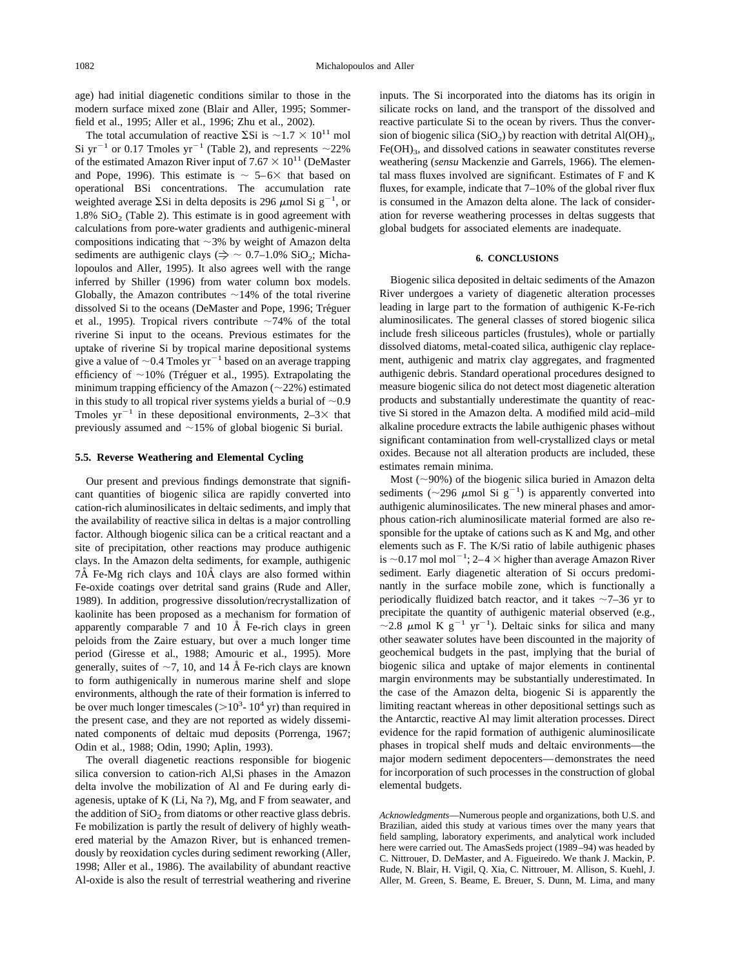age) had initial diagenetic conditions similar to those in the modern surface mixed zone [\(Blair and Aller, 1995; Sommer](#page-22-0)[field et al., 1995; Aller et al., 1996; Zhu et al., 2002\)](#page-22-0).

The total accumulation of reactive  $\Sigma$ Si is  $\sim$ 1.7  $\times$  10<sup>11</sup> mol Si yr<sup>-1</sup> or 0.17 Tmoles yr<sup>-1</sup> [\(Table 2\)](#page-13-0), and represents  $\sim$  22% of the estimated Amazon River input of  $7.67 \times 10^{11}$  [\(DeMaster](#page-22-0) [and Pope, 1996\)](#page-22-0). This estimate is  $\sim$  5–6 $\times$  that based on operational BSi concentrations. The accumulation rate weighted average  $\Sigma$ Si in delta deposits is 296  $\mu$ mol Si g<sup>-1</sup>, or 1.8%  $SiO<sub>2</sub>$  [\(Table 2\)](#page-13-0). This estimate is in good agreement with calculations from pore-water gradients and authigenic-mineral compositions indicating that  $\sim$ 3% by weight of Amazon delta sediments are authigenic clays ( $\Rightarrow \sim 0.7$ –1.0% SiO<sub>2</sub>; [Micha](#page-23-0)[lopoulos and Aller, 1995\)](#page-23-0). It also agrees well with the range inferred by [Shiller \(1996\)](#page-24-0) from water column box models. Globally, the Amazon contributes  $\sim$  14% of the total riverine dissolved Si to the oceans (DeMaster and Pope, 1996; Tréguer [et al., 1995\)](#page-22-0). Tropical rivers contribute  $\sim$ 74% of the total riverine Si input to the oceans. Previous estimates for the uptake of riverine Si by tropical marine depositional systems give a value of  $\sim$  0.4 Tmoles yr<sup>-1</sup> based on an average trapping efficiency of  $\sim$ 10% (Tréguer et al., 1995). Extrapolating the minimum trapping efficiency of the Amazon  $(\sim 22\%)$  estimated in this study to all tropical river systems yields a burial of  $\sim$  0.9 Tmoles  $yr^{-1}$  in these depositional environments,  $2-3\times$  that previously assumed and  $\sim$ 15% of global biogenic Si burial.

# **5.5. Reverse Weathering and Elemental Cycling**

Our present and previous findings demonstrate that significant quantities of biogenic silica are rapidly converted into cation-rich aluminosilicates in deltaic sediments, and imply that the availability of reactive silica in deltas is a major controlling factor. Although biogenic silica can be a critical reactant and a site of precipitation, other reactions may produce authigenic clays. In the Amazon delta sediments, for example, authigenic 7Å Fe-Mg rich clays and 10Å clays are also formed within Fe-oxide coatings over detrital sand grains [\(Rude and Aller,](#page-23-0) [1989\)](#page-23-0). In addition, progressive dissolution/recrystallization of kaolinite has been proposed as a mechanism for formation of apparently comparable  $7$  and  $10$  Å Fe-rich clays in green peloids from the Zaire estuary, but over a much longer time period [\(Giresse et al., 1988; Amouric et al., 1995\)](#page-22-0). More generally, suites of  $\sim$ 7, 10, and 14 Å Fe-rich clays are known to form authigenically in numerous marine shelf and slope environments, although the rate of their formation is inferred to be over much longer timescales ( $> 10^3$ - 10<sup>4</sup> yr) than required in the present case, and they are not reported as widely disseminated components of deltaic mud deposits [\(Porrenga, 1967;](#page-23-0) [Odin et al., 1988; Odin, 1990; Aplin, 1993\)](#page-23-0).

The overall diagenetic reactions responsible for biogenic silica conversion to cation-rich Al,Si phases in the Amazon delta involve the mobilization of Al and Fe during early diagenesis, uptake of K (Li, Na ?), Mg, and F from seawater, and the addition of  $SiO<sub>2</sub>$  from diatoms or other reactive glass debris. Fe mobilization is partly the result of delivery of highly weathered material by the Amazon River, but is enhanced tremendously by reoxidation cycles during sediment reworking [\(Aller,](#page-22-0) [1998; Aller et al., 1986\)](#page-22-0). The availability of abundant reactive Al-oxide is also the result of terrestrial weathering and riverine

inputs. The Si incorporated into the diatoms has its origin in silicate rocks on land, and the transport of the dissolved and reactive particulate Si to the ocean by rivers. Thus the conversion of biogenic silica (SiO<sub>2</sub>) by reaction with detrital  $Al(OH)_{3}$ ,  $Fe(OH)_{3}$ , and dissolved cations in seawater constitutes reverse weathering (*sensu* [Mackenzie and Garrels, 1966\)](#page-23-0). The elemental mass fluxes involved are significant. Estimates of F and K fluxes, for example, indicate that 7–10% of the global river flux is consumed in the Amazon delta alone. The lack of consideration for reverse weathering processes in deltas suggests that global budgets for associated elements are inadequate.

### **6. CONCLUSIONS**

Biogenic silica deposited in deltaic sediments of the Amazon River undergoes a variety of diagenetic alteration processes leading in large part to the formation of authigenic K-Fe-rich aluminosilicates. The general classes of stored biogenic silica include fresh siliceous particles (frustules), whole or partially dissolved diatoms, metal-coated silica, authigenic clay replacement, authigenic and matrix clay aggregates, and fragmented authigenic debris. Standard operational procedures designed to measure biogenic silica do not detect most diagenetic alteration products and substantially underestimate the quantity of reactive Si stored in the Amazon delta. A modified mild acid–mild alkaline procedure extracts the labile authigenic phases without significant contamination from well-crystallized clays or metal oxides. Because not all alteration products are included, these estimates remain minima.

Most  $(\sim)$ 90%) of the biogenic silica buried in Amazon delta sediments ( $\sim$ 296  $\mu$ mol Si g<sup>-1</sup>) is apparently converted into authigenic aluminosilicates. The new mineral phases and amorphous cation-rich aluminosilicate material formed are also responsible for the uptake of cations such as K and Mg, and other elements such as F. The K/Si ratio of labile authigenic phases is  $\sim$  0.17 mol mol<sup>-1</sup>; 2–4  $\times$  higher than average Amazon River sediment. Early diagenetic alteration of Si occurs predominantly in the surface mobile zone, which is functionally a periodically fluidized batch reactor, and it takes  $\sim$ 7–36 yr to precipitate the quantity of authigenic material observed (e.g., ~2.8  $\mu$ mol K g<sup>-1</sup> yr<sup>-1</sup>). Deltaic sinks for silica and many other seawater solutes have been discounted in the majority of geochemical budgets in the past, implying that the burial of biogenic silica and uptake of major elements in continental margin environments may be substantially underestimated. In the case of the Amazon delta, biogenic Si is apparently the limiting reactant whereas in other depositional settings such as the Antarctic, reactive Al may limit alteration processes. Direct evidence for the rapid formation of authigenic aluminosilicate phases in tropical shelf muds and deltaic environments—the major modern sediment depocenters—demonstrates the need for incorporation of such processes in the construction of global elemental budgets.

*Acknowledgments*—Numerous people and organizations, both U.S. and Brazilian, aided this study at various times over the many years that field sampling, laboratory experiments, and analytical work included here were carried out. The AmasSeds project (1989–94) was headed by C. Nittrouer, D. DeMaster, and A. Figueiredo. We thank J. Mackin, P. Rude, N. Blair, H. Vigil, Q. Xia, C. Nittrouer, M. Allison, S. Kuehl, J. Aller, M. Green, S. Beame, E. Breuer, S. Dunn, M. Lima, and many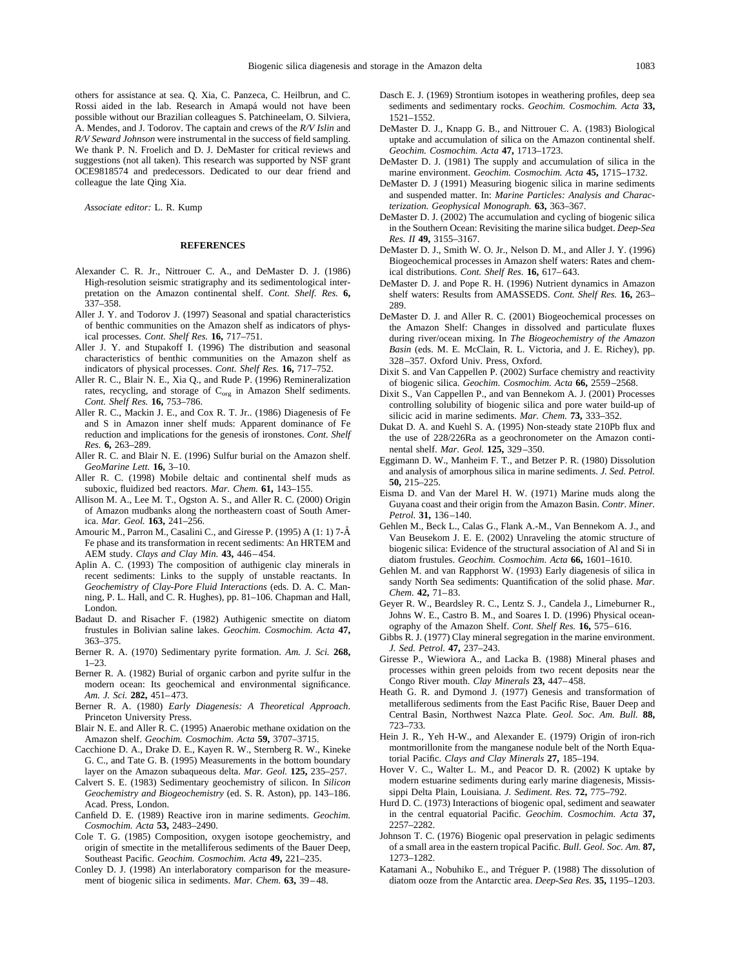<span id="page-22-0"></span>others for assistance at sea. Q. Xia, C. Panzeca, C. Heilbrun, and C. Rossi aided in the lab. Research in Amapa´ would not have been possible without our Brazilian colleagues S. Patchineelam, O. Silviera, A. Mendes, and J. Todorov. The captain and crews of the *R/V Islin* and *R/V Seward Johnson* were instrumental in the success of field sampling. We thank P. N. Froelich and D. J. DeMaster for critical reviews and suggestions (not all taken). This research was supported by NSF grant OCE9818574 and predecessors. Dedicated to our dear friend and colleague the late Qing Xia.

*Associate editor:* L. R. Kump

# **REFERENCES**

- Alexander C. R. Jr., Nittrouer C. A., and DeMaster D. J. (1986) High-resolution seismic stratigraphy and its sedimentological interpretation on the Amazon continental shelf. *Cont. Shelf. Res.* **6,** 337–358.
- Aller J. Y. and Todorov J. (1997) Seasonal and spatial characteristics of benthic communities on the Amazon shelf as indicators of physical processes. *Cont. Shelf Res.* **16,** 717–751.
- Aller J. Y. and Stupakoff I. (1996) The distribution and seasonal characteristics of benthic communities on the Amazon shelf as indicators of physical processes. *Cont. Shelf Res.* **16,** 717–752.
- Aller R. C., Blair N. E., Xia Q., and Rude P. (1996) Remineralization rates, recycling, and storage of  $C_{org}$  in Amazon Shelf sediments. *Cont. Shelf Res.* **16,** 753–786.
- Aller R. C., Mackin J. E., and Cox R. T. Jr.. (1986) Diagenesis of Fe and S in Amazon inner shelf muds: Apparent dominance of Fe reduction and implications for the genesis of ironstones. *Cont. Shelf Res.* **6,** 263–289.
- Aller R. C. and Blair N. E. (1996) Sulfur burial on the Amazon shelf. *GeoMarine Lett.* **16,** 3–10.
- Aller R. C. (1998) Mobile deltaic and continental shelf muds as suboxic, fluidized bed reactors. *Mar. Chem.* **61,** 143–155.
- Allison M. A., Lee M. T., Ogston A. S., and Aller R. C. (2000) Origin of Amazon mudbanks along the northeastern coast of South America. *Mar. Geol.* **163,** 241–256.
- Amouric M., Parron M., Casalini C., and Giresse P. (1995) A (1: 1) 7-Å Fe phase and its transformation in recent sediments: An HRTEM and AEM study. *Clays and Clay Min.* **43,** 446–454.
- Aplin A. C. (1993) The composition of authigenic clay minerals in recent sediments: Links to the supply of unstable reactants. In *Geochemistry of Clay-Pore Fluid Interactions* (eds. D. A. C. Manning, P. L. Hall, and C. R. Hughes), pp. 81–106. Chapman and Hall, London.
- Badaut D. and Risacher F. (1982) Authigenic smectite on diatom frustules in Bolivian saline lakes. *Geochim. Cosmochim. Acta* **47,** 363–375.
- Berner R. A. (1970) Sedimentary pyrite formation. *Am. J. Sci.* **268,** 1–23.
- Berner R. A. (1982) Burial of organic carbon and pyrite sulfur in the modern ocean: Its geochemical and environmental significance. *Am. J. Sci.* **282,** 451–473.
- Berner R. A. (1980) *Early Diagenesis: A Theoretical Approach*. Princeton University Press.
- Blair N. E. and Aller R. C. (1995) Anaerobic methane oxidation on the Amazon shelf. *Geochim. Cosmochim. Acta* **59,** 3707–3715.
- Cacchione D. A., Drake D. E., Kayen R. W., Sternberg R. W., Kineke G. C., and Tate G. B. (1995) Measurements in the bottom boundary layer on the Amazon subaqueous delta. *Mar. Geol.* **125,** 235–257.
- Calvert S. E. (1983) Sedimentary geochemistry of silicon. In *Silicon Geochemistry and Biogeochemistry* (ed. S. R. Aston), pp. 143–186. Acad. Press, London.
- Canfield D. E. (1989) Reactive iron in marine sediments. *Geochim. Cosmochim. Acta* **53,** 2483–2490.
- Cole T. G. (1985) Composition, oxygen isotope geochemistry, and origin of smectite in the metalliferous sediments of the Bauer Deep, Southeast Pacific. *Geochim. Cosmochim. Acta* **49,** 221–235.
- Conley D. J. (1998) An interlaboratory comparison for the measurement of biogenic silica in sediments. *Mar. Chem.* **63,** 39–48.
- Dasch E. J. (1969) Strontium isotopes in weathering profiles, deep sea sediments and sedimentary rocks. *Geochim. Cosmochim. Acta* **33,** 1521–1552.
- DeMaster D. J., Knapp G. B., and Nittrouer C. A. (1983) Biological uptake and accumulation of silica on the Amazon continental shelf. *Geochim. Cosmochim. Acta* **47,** 1713–1723.
- DeMaster D. J. (1981) The supply and accumulation of silica in the marine environment. *Geochim. Cosmochim. Acta* **45,** 1715–1732.
- DeMaster D. J (1991) Measuring biogenic silica in marine sediments and suspended matter. In: *Marine Particles: Analysis and Characterization. Geophysical Monograph.* **63,** 363–367.
- DeMaster D. J. (2002) The accumulation and cycling of biogenic silica in the Southern Ocean: Revisiting the marine silica budget. *Deep-Sea Res. II* **49,** 3155–3167.
- DeMaster D. J., Smith W. O. Jr., Nelson D. M., and Aller J. Y. (1996) Biogeochemical processes in Amazon shelf waters: Rates and chemical distributions. *Cont. Shelf Res.* **16,** 617–643.
- DeMaster D. J. and Pope R. H. (1996) Nutrient dynamics in Amazon shelf waters: Results from AMASSEDS. *Cont. Shelf Res.* **16,** 263– 289.
- DeMaster D. J. and Aller R. C. (2001) Biogeochemical processes on the Amazon Shelf: Changes in dissolved and particulate fluxes during river/ocean mixing. In *The Biogeochemistry of the Amazon Basin* (eds. M. E. McClain, R. L. Victoria, and J. E. Richey), pp. 328–357. Oxford Univ. Press, Oxford.
- Dixit S. and Van Cappellen P. (2002) Surface chemistry and reactivity of biogenic silica. *Geochim. Cosmochim. Acta* **66,** 2559–2568.
- Dixit S., Van Cappellen P., and van Bennekom A. J. (2001) Processes controlling solubility of biogenic silica and pore water build-up of silicic acid in marine sediments. *Mar. Chem.* **73,** 333–352.
- Dukat D. A. and Kuehl S. A. (1995) Non-steady state 210Pb flux and the use of 228/226Ra as a geochronometer on the Amazon continental shelf. *Mar. Geol.* **125,** 329–350.
- Eggimann D. W., Manheim F. T., and Betzer P. R. (1980) Dissolution and analysis of amorphous silica in marine sediments. *J. Sed. Petrol.* **50,** 215–225.
- Eisma D. and Van der Marel H. W. (1971) Marine muds along the Guyana coast and their origin from the Amazon Basin. *Contr. Miner. Petrol.* **31,** 136–140.
- Gehlen M., Beck L., Calas G., Flank A.-M., Van Bennekom A. J., and Van Beusekom J. E. E. (2002) Unraveling the atomic structure of biogenic silica: Evidence of the structural association of Al and Si in diatom frustules. *Geochim. Cosmochim. Acta* **66,** 1601–1610.
- Gehlen M. and van Rapphorst W. (1993) Early diagenesis of silica in sandy North Sea sediments: Quantification of the solid phase. *Mar. Chem.* **42,** 71–83.
- Geyer R. W., Beardsley R. C., Lentz S. J., Candela J., Limeburner R., Johns W. E., Castro B. M., and Soares I. D. (1996) Physical oceanography of the Amazon Shelf. *Cont. Shelf Res.* **16,** 575–616.
- Gibbs R. J. (1977) Clay mineral segregation in the marine environment. *J. Sed. Petrol.* **47,** 237–243.
- Giresse P., Wiewiora A., and Lacka B. (1988) Mineral phases and processes within green peloids from two recent deposits near the Congo River mouth. *Clay Minerals* **23,** 447–458.
- Heath G. R. and Dymond J. (1977) Genesis and transformation of metalliferous sediments from the East Pacific Rise, Bauer Deep and Central Basin, Northwest Nazca Plate. *Geol. Soc. Am. Bull.* **88,** 723–733.
- Hein J. R., Yeh H-W., and Alexander E. (1979) Origin of iron-rich montmorillonite from the manganese nodule belt of the North Equatorial Pacific. *Clays and Clay Minerals* **27,** 185–194.
- Hover V. C., Walter L. M., and Peacor D. R. (2002) K uptake by modern estuarine sediments during early marine diagenesis, Mississippi Delta Plain, Louisiana. *J. Sediment. Res.* **72,** 775–792.
- Hurd D. C. (1973) Interactions of biogenic opal, sediment and seawater in the central equatorial Pacific. *Geochim. Cosmochim. Acta* **37,** 2257–2282.
- Johnson T. C. (1976) Biogenic opal preservation in pelagic sediments of a small area in the eastern tropical Pacific. *Bull. Geol. Soc. Am.* **87,** 1273–1282.
- Katamani A., Nobuhiko E., and Tréguer P. (1988) The dissolution of diatom ooze from the Antarctic area. *Deep-Sea Res.* **35,** 1195–1203.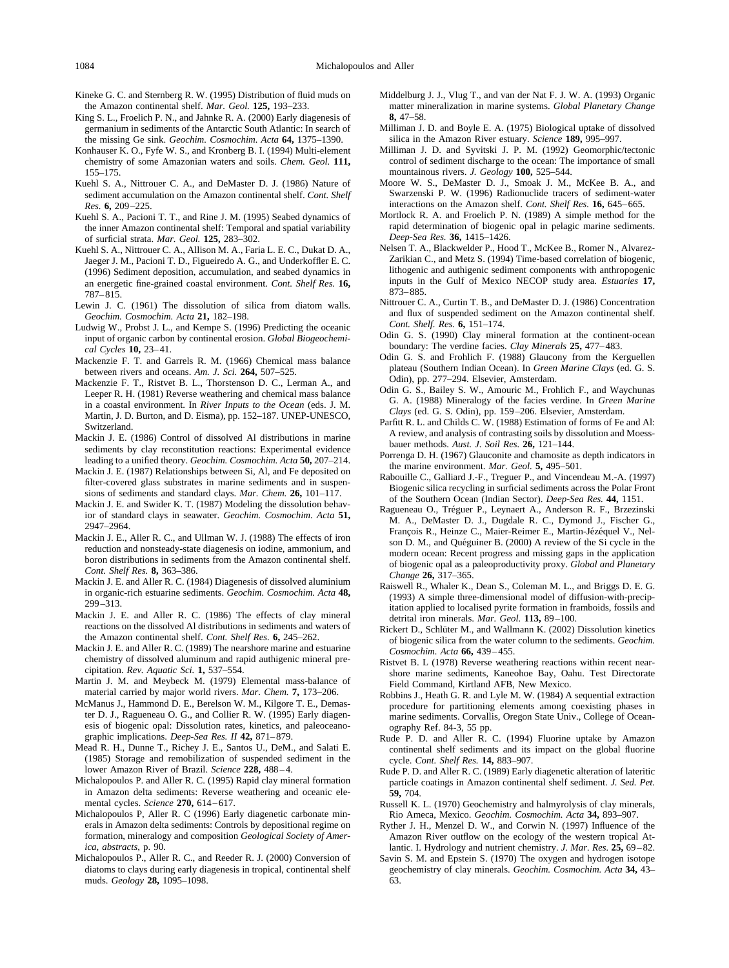<span id="page-23-0"></span>Kineke G. C. and Sternberg R. W. (1995) Distribution of fluid muds on the Amazon continental shelf. *Mar. Geol.* **125,** 193–233.

- King S. L., Froelich P. N., and Jahnke R. A. (2000) Early diagenesis of germanium in sediments of the Antarctic South Atlantic: In search of the missing Ge sink. *Geochim. Cosmochim. Acta* **64,** 1375–1390.
- Konhauser K. O., Fyfe W. S., and Kronberg B. I. (1994) Multi-element chemistry of some Amazonian waters and soils. *Chem. Geol.* **111,** 155–175.
- Kuehl S. A., Nittrouer C. A., and DeMaster D. J. (1986) Nature of sediment accumulation on the Amazon continental shelf. *Cont. Shelf Res.* **6,** 209–225.
- Kuehl S. A., Pacioni T. T., and Rine J. M. (1995) Seabed dynamics of the inner Amazon continental shelf: Temporal and spatial variability of surficial strata. *Mar. Geol.* **125,** 283–302.
- Kuehl S. A., Nittrouer C. A., Allison M. A., Faria L. E. C., Dukat D. A., Jaeger J. M., Pacioni T. D., Figueiredo A. G., and Underkoffler E. C. (1996) Sediment deposition, accumulation, and seabed dynamics in an energetic fine-grained coastal environment. *Cont. Shelf Res.* **16,** 787–815.
- Lewin J. C. (1961) The dissolution of silica from diatom walls. *Geochim. Cosmochim. Acta* **21,** 182–198.
- Ludwig W., Probst J. L., and Kempe S. (1996) Predicting the oceanic input of organic carbon by continental erosion. *Global Biogeochemical Cycles* **10,** 23–41.
- Mackenzie F. T. and Garrels R. M. (1966) Chemical mass balance between rivers and oceans. *Am. J. Sci.* **264,** 507–525.
- Mackenzie F. T., Ristvet B. L., Thorstenson D. C., Lerman A., and Leeper R. H. (1981) Reverse weathering and chemical mass balance in a coastal environment. In *River Inputs to the Ocean* (eds. J. M. Martin, J. D. Burton, and D. Eisma), pp. 152–187. UNEP-UNESCO, Switzerland.
- Mackin J. E. (1986) Control of dissolved Al distributions in marine sediments by clay reconstitution reactions: Experimental evidence leading to a unified theory. *Geochim. Cosmochim. Acta* **50,** 207–214.
- Mackin J. E. (1987) Relationships between Si, Al, and Fe deposited on filter-covered glass substrates in marine sediments and in suspensions of sediments and standard clays. *Mar. Chem.* **26,** 101–117.
- Mackin J. E. and Swider K. T. (1987) Modeling the dissolution behavior of standard clays in seawater. *Geochim. Cosmochim. Acta* **51,** 2947–2964.
- Mackin J. E., Aller R. C., and Ullman W. J. (1988) The effects of iron reduction and nonsteady-state diagenesis on iodine, ammonium, and boron distributions in sediments from the Amazon continental shelf. *Cont. Shelf Res.* **8,** 363–386.
- Mackin J. E. and Aller R. C. (1984) Diagenesis of dissolved aluminium in organic-rich estuarine sediments. *Geochim. Cosmochim. Acta* **48,** 299–313.
- Mackin J. E. and Aller R. C. (1986) The effects of clay mineral reactions on the dissolved Al distributions in sediments and waters of the Amazon continental shelf. *Cont. Shelf Res.* **6,** 245–262.
- Mackin J. E. and Aller R. C. (1989) The nearshore marine and estuarine chemistry of dissolved aluminum and rapid authigenic mineral precipitation. *Rev. Aquatic Sci.* **1,** 537–554.
- Martin J. M. and Meybeck M. (1979) Elemental mass-balance of material carried by major world rivers. *Mar. Chem.* **7,** 173–206.
- McManus J., Hammond D. E., Berelson W. M., Kilgore T. E., Demaster D. J., Ragueneau O. G., and Collier R. W. (1995) Early diagenesis of biogenic opal: Dissolution rates, kinetics, and paleoceanographic implications. *Deep-Sea Res. II* **42,** 871–879.
- Mead R. H., Dunne T., Richey J. E., Santos U., DeM., and Salati E. (1985) Storage and remobilization of suspended sediment in the lower Amazon River of Brazil. *Science* **228,** 488–4.
- Michalopoulos P. and Aller R. C. (1995) Rapid clay mineral formation in Amazon delta sediments: Reverse weathering and oceanic elemental cycles. *Science* **270,** 614–617.
- Michalopoulos P, Aller R. C (1996) Early diagenetic carbonate minerals in Amazon delta sediments: Controls by depositional regime on formation, mineralogy and composition *Geological Society of America, abstracts*, p. 90.
- Michalopoulos P., Aller R. C., and Reeder R. J. (2000) Conversion of diatoms to clays during early diagenesis in tropical, continental shelf muds. *Geology* **28,** 1095–1098.
- Middelburg J. J., Vlug T., and van der Nat F. J. W. A. (1993) Organic matter mineralization in marine systems. *Global Planetary Change* **8,** 47–58.
- Milliman J. D. and Boyle E. A. (1975) Biological uptake of dissolved silica in the Amazon River estuary. *Science* **189,** 995–997.
- Milliman J. D. and Syvitski J. P. M. (1992) Geomorphic/tectonic control of sediment discharge to the ocean: The importance of small mountainous rivers. *J. Geology* **100,** 525–544.
- Moore W. S., DeMaster D. J., Smoak J. M., McKee B. A., and Swarzenski P. W. (1996) Radionuclide tracers of sediment-water interactions on the Amazon shelf. *Cont. Shelf Res.* **16,** 645–665.
- Mortlock R. A. and Froelich P. N. (1989) A simple method for the rapid determination of biogenic opal in pelagic marine sediments. *Deep-Sea Res.* **36,** 1415–1426.
- Nelsen T. A., Blackwelder P., Hood T., McKee B., Romer N., Alvarez-Zarikian C., and Metz S. (1994) Time-based correlation of biogenic, lithogenic and authigenic sediment components with anthropogenic inputs in the Gulf of Mexico NECOP study area. *Estuaries* **17,** 873–885.
- Nittrouer C. A., Curtin T. B., and DeMaster D. J. (1986) Concentration and flux of suspended sediment on the Amazon continental shelf. *Cont. Shelf. Res.* **6,** 151–174.
- Odin G. S. (1990) Clay mineral formation at the continent-ocean boundary: The verdine facies. *Clay Minerals* **25,** 477–483.
- Odin G. S. and Frohlich F. (1988) Glaucony from the Kerguellen plateau (Southern Indian Ocean). In *Green Marine Clays* (ed. G. S. Odin), pp. 277–294. Elsevier, Amsterdam.
- Odin G. S., Bailey S. W., Amouric M., Frohlich F., and Waychunas G. A. (1988) Mineralogy of the facies verdine. In *Green Marine Clays* (ed. G. S. Odin), pp. 159–206. Elsevier, Amsterdam.
- Parfitt R. L. and Childs C. W. (1988) Estimation of forms of Fe and Al: A review, and analysis of contrasting soils by dissolution and Moessbauer methods. *Aust. J. Soil Res.* **26,** 121–144.
- Porrenga D. H. (1967) Glauconite and chamosite as depth indicators in the marine environment. *Mar. Geol.* **5,** 495–501.
- Rabouille C., Galliard J.-F., Treguer P., and Vincendeau M.-A. (1997) Biogenic silica recycling in surficial sediments across the Polar Front of the Southern Ocean (Indian Sector). *Deep-Sea Res.* **44,** 1151.
- Ragueneau O., Tréguer P., Leynaert A., Anderson R. F., Brzezinski M. A., DeMaster D. J., Dugdale R. C., Dymond J., Fischer G., François R., Heinze C., Maier-Reimer E., Martin-Jézéquel V., Nelson D. M., and Quéguiner B. (2000) A review of the Si cycle in the modern ocean: Recent progress and missing gaps in the application of biogenic opal as a paleoproductivity proxy. *Global and Planetary Change* **26,** 317–365.
- Raiswell R., Whaler K., Dean S., Coleman M. L., and Briggs D. E. G. (1993) A simple three-dimensional model of diffusion-with-precipitation applied to localised pyrite formation in framboids, fossils and detrital iron minerals. *Mar. Geol.* **113,** 89–100.
- Rickert D., Schlüter M., and Wallmann K. (2002) Dissolution kinetics of biogenic silica from the water column to the sediments. *Geochim. Cosmochim. Acta* **66,** 439–455.
- Ristvet B. L (1978) Reverse weathering reactions within recent nearshore marine sediments, Kaneohoe Bay, Oahu. Test Directorate Field Command, Kirtland AFB, New Mexico.
- Robbins J., Heath G. R. and Lyle M. W. (1984) A sequential extraction procedure for partitioning elements among coexisting phases in marine sediments. Corvallis, Oregon State Univ., College of Oceanography Ref. 84-3, 55 pp.
- Rude P. D. and Aller R. C. (1994) Fluorine uptake by Amazon continental shelf sediments and its impact on the global fluorine cycle. *Cont. Shelf Res.* **14,** 883–907.
- Rude P. D. and Aller R. C. (1989) Early diagenetic alteration of lateritic particle coatings in Amazon continental shelf sediment. *J. Sed. Pet.* **59,** 704.
- Russell K. L. (1970) Geochemistry and halmyrolysis of clay minerals, Rio Ameca, Mexico. *Geochim. Cosmochim. Acta* **34,** 893–907.
- Ryther J. H., Menzel D. W., and Corwin N. (1997) Influence of the Amazon River outflow on the ecology of the western tropical Atlantic. I. Hydrology and nutrient chemistry. *J. Mar. Res.* **25,** 69–82.
- Savin S. M. and Epstein S. (1970) The oxygen and hydrogen isotope geochemistry of clay minerals. *Geochim. Cosmochim. Acta* **34,** 43– 63.